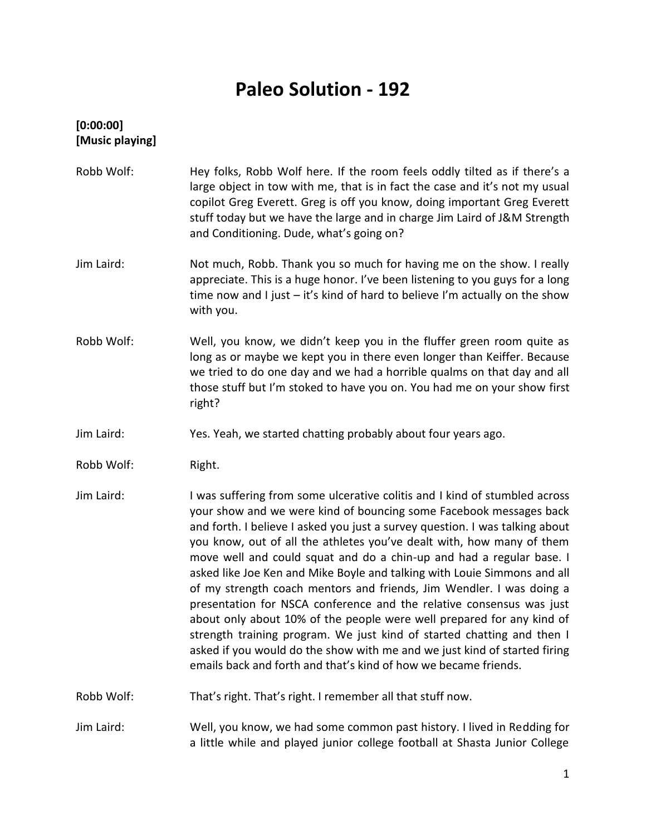# **Paleo Solution - 192**

# **[0:00:00] [Music playing]**

Robb Wolf: Hey folks, Robb Wolf here. If the room feels oddly tilted as if there's a large object in tow with me, that is in fact the case and it's not my usual copilot Greg Everett. Greg is off you know, doing important Greg Everett stuff today but we have the large and in charge Jim Laird of J&M Strength and Conditioning. Dude, what's going on? Jim Laird: Not much, Robb. Thank you so much for having me on the show. I really appreciate. This is a huge honor. I've been listening to you guys for a long time now and I just – it's kind of hard to believe I'm actually on the show with you. Robb Wolf: Well, you know, we didn't keep you in the fluffer green room quite as long as or maybe we kept you in there even longer than Keiffer. Because we tried to do one day and we had a horrible qualms on that day and all those stuff but I'm stoked to have you on. You had me on your show first right? Jim Laird: Yes. Yeah, we started chatting probably about four years ago. Robb Wolf: Right. Jim Laird: I was suffering from some ulcerative colitis and I kind of stumbled across your show and we were kind of bouncing some Facebook messages back and forth. I believe I asked you just a survey question. I was talking about you know, out of all the athletes you've dealt with, how many of them move well and could squat and do a chin-up and had a regular base. I asked like Joe Ken and Mike Boyle and talking with Louie Simmons and all of my strength coach mentors and friends, Jim Wendler. I was doing a presentation for NSCA conference and the relative consensus was just about only about 10% of the people were well prepared for any kind of strength training program. We just kind of started chatting and then I asked if you would do the show with me and we just kind of started firing emails back and forth and that's kind of how we became friends. Robb Wolf: That's right. That's right. I remember all that stuff now. Jim Laird: Well, you know, we had some common past history. I lived in Redding for

a little while and played junior college football at Shasta Junior College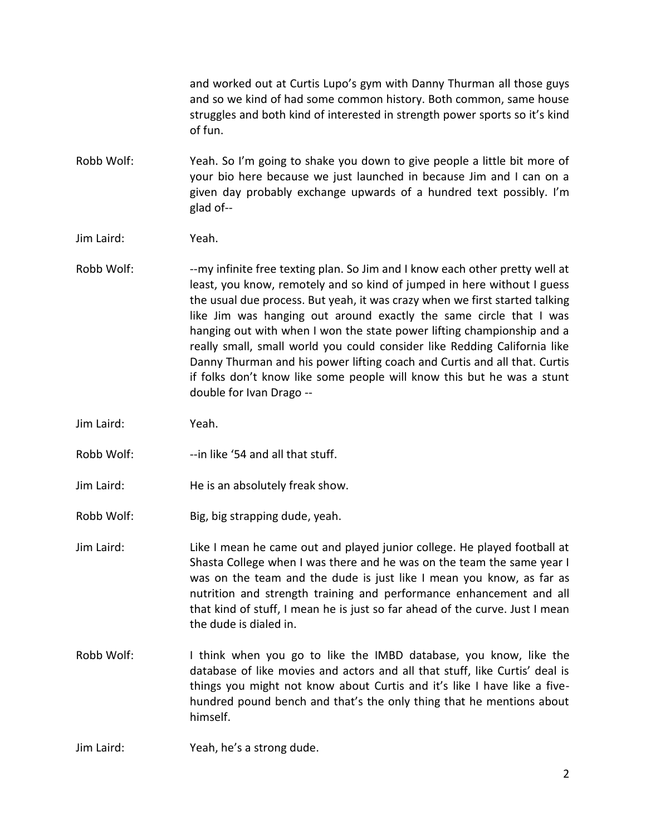and worked out at Curtis Lupo's gym with Danny Thurman all those guys and so we kind of had some common history. Both common, same house struggles and both kind of interested in strength power sports so it's kind of fun.

- Robb Wolf: Yeah. So I'm going to shake you down to give people a little bit more of your bio here because we just launched in because Jim and I can on a given day probably exchange upwards of a hundred text possibly. I'm glad of--
- Jim Laird: Yeah.
- Robb Wolf: -- my infinite free texting plan. So Jim and I know each other pretty well at least, you know, remotely and so kind of jumped in here without I guess the usual due process. But yeah, it was crazy when we first started talking like Jim was hanging out around exactly the same circle that I was hanging out with when I won the state power lifting championship and a really small, small world you could consider like Redding California like Danny Thurman and his power lifting coach and Curtis and all that. Curtis if folks don't know like some people will know this but he was a stunt double for Ivan Drago --
- Jim Laird: Yeah.
- Robb Wolf: ---in like '54 and all that stuff.
- Jim Laird: He is an absolutely freak show.
- Robb Wolf: Big, big strapping dude, yeah.
- Jim Laird: Like I mean he came out and played junior college. He played football at Shasta College when I was there and he was on the team the same year I was on the team and the dude is just like I mean you know, as far as nutrition and strength training and performance enhancement and all that kind of stuff, I mean he is just so far ahead of the curve. Just I mean the dude is dialed in.
- Robb Wolf: I think when you go to like the IMBD database, you know, like the database of like movies and actors and all that stuff, like Curtis' deal is things you might not know about Curtis and it's like I have like a five hundred pound bench and that's the only thing that he mentions about himself.
- Jim Laird: Yeah, he's a strong dude.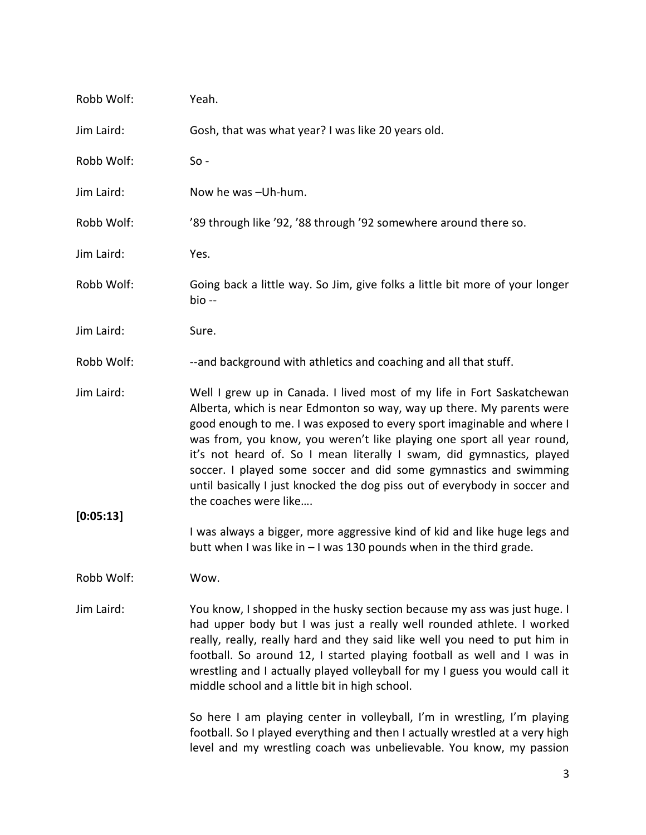| Robb Wolf: | Yeah.                                                                                                                                                                                                                                                                                                                                                                                                                                                                                                                                                    |
|------------|----------------------------------------------------------------------------------------------------------------------------------------------------------------------------------------------------------------------------------------------------------------------------------------------------------------------------------------------------------------------------------------------------------------------------------------------------------------------------------------------------------------------------------------------------------|
| Jim Laird: | Gosh, that was what year? I was like 20 years old.                                                                                                                                                                                                                                                                                                                                                                                                                                                                                                       |
| Robb Wolf: | $So -$                                                                                                                                                                                                                                                                                                                                                                                                                                                                                                                                                   |
| Jim Laird: | Now he was -Uh-hum.                                                                                                                                                                                                                                                                                                                                                                                                                                                                                                                                      |
| Robb Wolf: | '89 through like '92, '88 through '92 somewhere around there so.                                                                                                                                                                                                                                                                                                                                                                                                                                                                                         |
| Jim Laird: | Yes.                                                                                                                                                                                                                                                                                                                                                                                                                                                                                                                                                     |
| Robb Wolf: | Going back a little way. So Jim, give folks a little bit more of your longer<br>bio --                                                                                                                                                                                                                                                                                                                                                                                                                                                                   |
| Jim Laird: | Sure.                                                                                                                                                                                                                                                                                                                                                                                                                                                                                                                                                    |
| Robb Wolf: | --and background with athletics and coaching and all that stuff.                                                                                                                                                                                                                                                                                                                                                                                                                                                                                         |
| Jim Laird: | Well I grew up in Canada. I lived most of my life in Fort Saskatchewan<br>Alberta, which is near Edmonton so way, way up there. My parents were<br>good enough to me. I was exposed to every sport imaginable and where I<br>was from, you know, you weren't like playing one sport all year round,<br>it's not heard of. So I mean literally I swam, did gymnastics, played<br>soccer. I played some soccer and did some gymnastics and swimming<br>until basically I just knocked the dog piss out of everybody in soccer and<br>the coaches were like |
| [0:05:13]  |                                                                                                                                                                                                                                                                                                                                                                                                                                                                                                                                                          |
|            | I was always a bigger, more aggressive kind of kid and like huge legs and<br>butt when I was like in $-1$ was 130 pounds when in the third grade.                                                                                                                                                                                                                                                                                                                                                                                                        |
| Robb Wolf: | Wow.                                                                                                                                                                                                                                                                                                                                                                                                                                                                                                                                                     |
| Jim Laird: | You know, I shopped in the husky section because my ass was just huge. I<br>had upper body but I was just a really well rounded athlete. I worked<br>really, really, really hard and they said like well you need to put him in<br>football. So around 12, I started playing football as well and I was in<br>wrestling and I actually played volleyball for my I guess you would call it<br>middle school and a little bit in high school.                                                                                                              |
|            | So here I am playing center in volleyball, I'm in wrestling, I'm playing<br>football. So I played everything and then I actually wrestled at a very high<br>level and my wrestling coach was unbelievable. You know, my passion                                                                                                                                                                                                                                                                                                                          |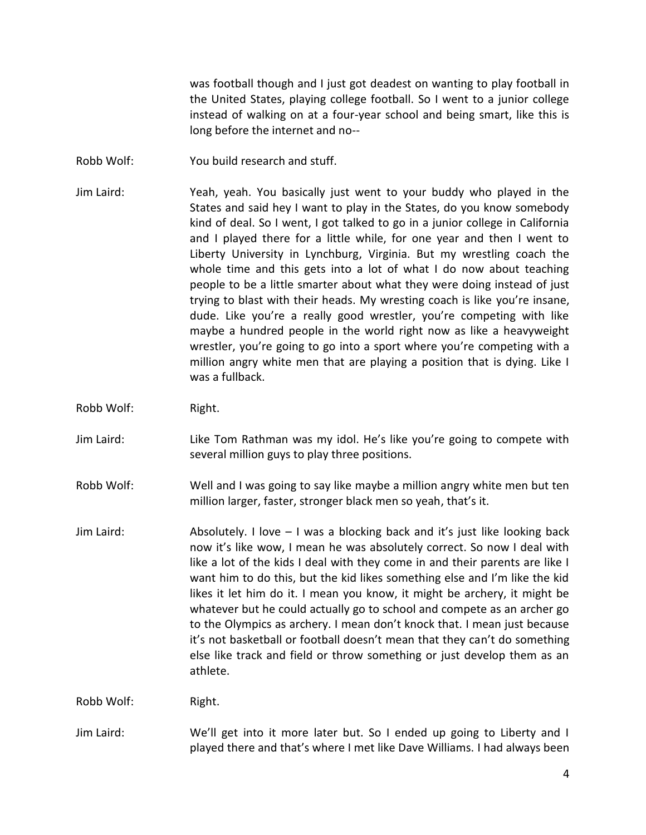was football though and I just got deadest on wanting to play football in the United States, playing college football. So I went to a junior college instead of walking on at a four-year school and being smart, like this is long before the internet and no--

- Robb Wolf: You build research and stuff.
- Jim Laird: Yeah, yeah. You basically just went to your buddy who played in the States and said hey I want to play in the States, do you know somebody kind of deal. So I went, I got talked to go in a junior college in California and I played there for a little while, for one year and then I went to Liberty University in Lynchburg, Virginia. But my wrestling coach the whole time and this gets into a lot of what I do now about teaching people to be a little smarter about what they were doing instead of just trying to blast with their heads. My wresting coach is like you're insane, dude. Like you're a really good wrestler, you're competing with like maybe a hundred people in the world right now as like a heavyweight wrestler, you're going to go into a sport where you're competing with a million angry white men that are playing a position that is dying. Like I was a fullback.
- Robb Wolf: Right.
- Jim Laird: Like Tom Rathman was my idol. He's like you're going to compete with several million guys to play three positions.
- Robb Wolf: Well and I was going to say like maybe a million angry white men but ten million larger, faster, stronger black men so yeah, that's it.
- Jim Laird: Absolutely. I love I was a blocking back and it's just like looking back now it's like wow, I mean he was absolutely correct. So now I deal with like a lot of the kids I deal with they come in and their parents are like I want him to do this, but the kid likes something else and I'm like the kid likes it let him do it. I mean you know, it might be archery, it might be whatever but he could actually go to school and compete as an archer go to the Olympics as archery. I mean don't knock that. I mean just because it's not basketball or football doesn't mean that they can't do something else like track and field or throw something or just develop them as an athlete.

Robb Wolf: Right.

Jim Laird: We'll get into it more later but. So I ended up going to Liberty and I played there and that's where I met like Dave Williams. I had always been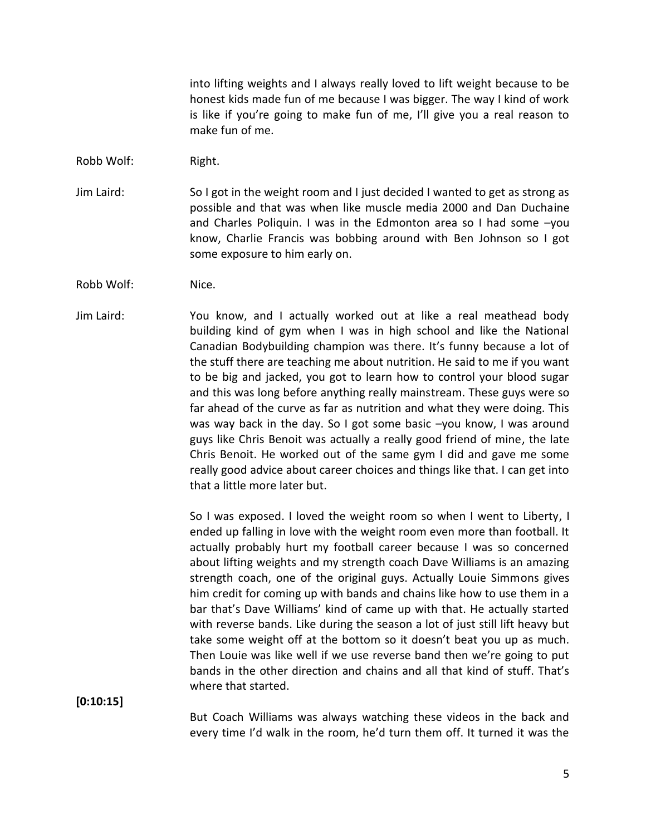into lifting weights and I always really loved to lift weight because to be honest kids made fun of me because I was bigger. The way I kind of work is like if you're going to make fun of me, I'll give you a real reason to make fun of me.

- Robb Wolf: Right.
- Jim Laird: So I got in the weight room and I just decided I wanted to get as strong as possible and that was when like muscle media 2000 and Dan Duchaine and Charles Poliquin. I was in the Edmonton area so I had some –you know, Charlie Francis was bobbing around with Ben Johnson so I got some exposure to him early on.
- Robb Wolf: Nice.
- Jim Laird: You know, and I actually worked out at like a real meathead body building kind of gym when I was in high school and like the National Canadian Bodybuilding champion was there. It's funny because a lot of the stuff there are teaching me about nutrition. He said to me if you want to be big and jacked, you got to learn how to control your blood sugar and this was long before anything really mainstream. These guys were so far ahead of the curve as far as nutrition and what they were doing. This was way back in the day. So I got some basic –you know, I was around guys like Chris Benoit was actually a really good friend of mine, the late Chris Benoit. He worked out of the same gym I did and gave me some really good advice about career choices and things like that. I can get into that a little more later but.

So I was exposed. I loved the weight room so when I went to Liberty, I ended up falling in love with the weight room even more than football. It actually probably hurt my football career because I was so concerned about lifting weights and my strength coach Dave Williams is an amazing strength coach, one of the original guys. Actually Louie Simmons gives him credit for coming up with bands and chains like how to use them in a bar that's Dave Williams' kind of came up with that. He actually started with reverse bands. Like during the season a lot of just still lift heavy but take some weight off at the bottom so it doesn't beat you up as much. Then Louie was like well if we use reverse band then we're going to put bands in the other direction and chains and all that kind of stuff. That's where that started.

**[0:10:15]**

But Coach Williams was always watching these videos in the back and every time I'd walk in the room, he'd turn them off. It turned it was the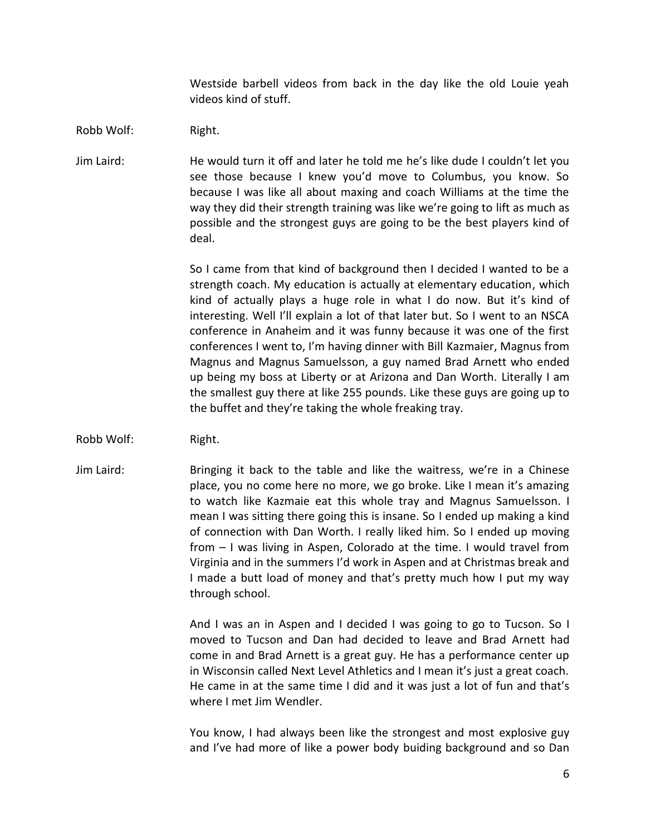Westside barbell videos from back in the day like the old Louie yeah videos kind of stuff.

Robb Wolf: Right.

Jim Laird: He would turn it off and later he told me he's like dude I couldn't let you see those because I knew you'd move to Columbus, you know. So because I was like all about maxing and coach Williams at the time the way they did their strength training was like we're going to lift as much as possible and the strongest guys are going to be the best players kind of deal.

> So I came from that kind of background then I decided I wanted to be a strength coach. My education is actually at elementary education, which kind of actually plays a huge role in what I do now. But it's kind of interesting. Well I'll explain a lot of that later but. So I went to an NSCA conference in Anaheim and it was funny because it was one of the first conferences I went to, I'm having dinner with Bill Kazmaier, Magnus from Magnus and Magnus Samuelsson, a guy named Brad Arnett who ended up being my boss at Liberty or at Arizona and Dan Worth. Literally I am the smallest guy there at like 255 pounds. Like these guys are going up to the buffet and they're taking the whole freaking tray.

- Robb Wolf: Right.
- Jim Laird: Bringing it back to the table and like the waitress, we're in a Chinese place, you no come here no more, we go broke. Like I mean it's amazing to watch like Kazmaie eat this whole tray and Magnus Samuelsson. I mean I was sitting there going this is insane. So I ended up making a kind of connection with Dan Worth. I really liked him. So I ended up moving from – I was living in Aspen, Colorado at the time. I would travel from Virginia and in the summers I'd work in Aspen and at Christmas break and I made a butt load of money and that's pretty much how I put my way through school.

And I was an in Aspen and I decided I was going to go to Tucson. So I moved to Tucson and Dan had decided to leave and Brad Arnett had come in and Brad Arnett is a great guy. He has a performance center up in Wisconsin called Next Level Athletics and I mean it's just a great coach. He came in at the same time I did and it was just a lot of fun and that's where I met Jim Wendler.

You know, I had always been like the strongest and most explosive guy and I've had more of like a power body buiding background and so Dan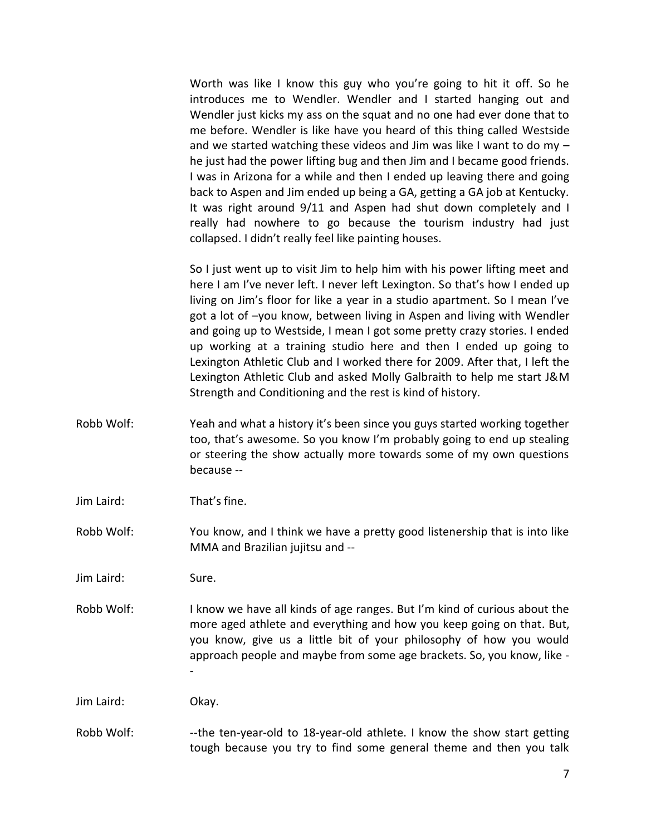Worth was like I know this guy who you're going to hit it off. So he introduces me to Wendler. Wendler and I started hanging out and Wendler just kicks my ass on the squat and no one had ever done that to me before. Wendler is like have you heard of this thing called Westside and we started watching these videos and Jim was like I want to do my – he just had the power lifting bug and then Jim and I became good friends. I was in Arizona for a while and then I ended up leaving there and going back to Aspen and Jim ended up being a GA, getting a GA job at Kentucky. It was right around 9/11 and Aspen had shut down completely and I really had nowhere to go because the tourism industry had just collapsed. I didn't really feel like painting houses.

So I just went up to visit Jim to help him with his power lifting meet and here I am I've never left. I never left Lexington. So that's how I ended up living on Jim's floor for like a year in a studio apartment. So I mean I've got a lot of –you know, between living in Aspen and living with Wendler and going up to Westside, I mean I got some pretty crazy stories. I ended up working at a training studio here and then I ended up going to Lexington Athletic Club and I worked there for 2009. After that, I left the Lexington Athletic Club and asked Molly Galbraith to help me start J&M Strength and Conditioning and the rest is kind of history.

- Robb Wolf: Yeah and what a history it's been since you guys started working together too, that's awesome. So you know I'm probably going to end up stealing or steering the show actually more towards some of my own questions because --
- Jim Laird: That's fine.

Robb Wolf: You know, and I think we have a pretty good listenership that is into like MMA and Brazilian jujitsu and --

Jim Laird: Sure.

Robb Wolf: I know we have all kinds of age ranges. But I'm kind of curious about the more aged athlete and everything and how you keep going on that. But, you know, give us a little bit of your philosophy of how you would approach people and maybe from some age brackets. So, you know, like - -

Jim Laird: Okay.

Robb Wolf: ---the ten-year-old to 18-year-old athlete. I know the show start getting tough because you try to find some general theme and then you talk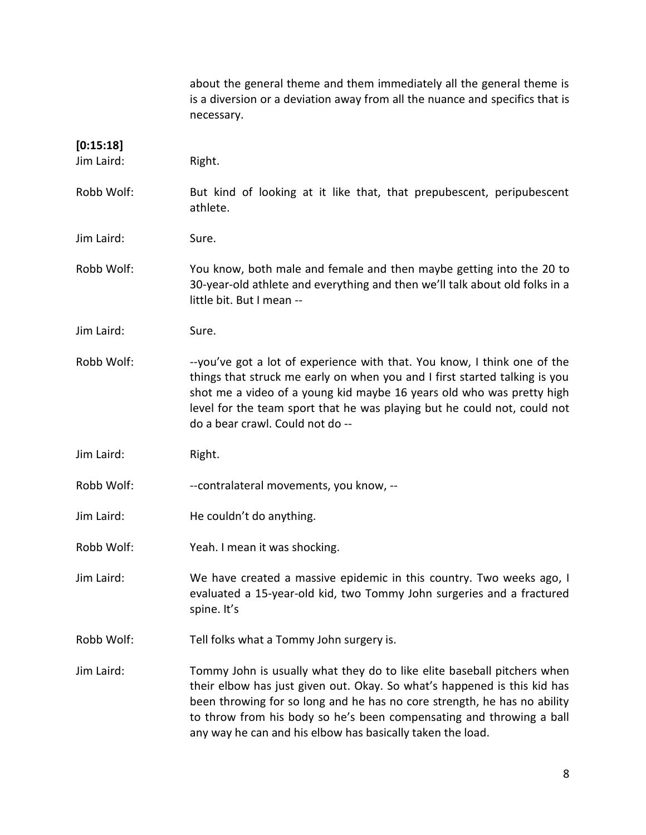|                         | about the general theme and them immediately all the general theme is<br>is a diversion or a deviation away from all the nuance and specifics that is<br>necessary.                                                                                                                                                                                                   |
|-------------------------|-----------------------------------------------------------------------------------------------------------------------------------------------------------------------------------------------------------------------------------------------------------------------------------------------------------------------------------------------------------------------|
| [0:15:18]<br>Jim Laird: | Right.                                                                                                                                                                                                                                                                                                                                                                |
| Robb Wolf:              | But kind of looking at it like that, that prepubescent, peripubescent<br>athlete.                                                                                                                                                                                                                                                                                     |
| Jim Laird:              | Sure.                                                                                                                                                                                                                                                                                                                                                                 |
| Robb Wolf:              | You know, both male and female and then maybe getting into the 20 to<br>30-year-old athlete and everything and then we'll talk about old folks in a<br>little bit. But I mean --                                                                                                                                                                                      |
| Jim Laird:              | Sure.                                                                                                                                                                                                                                                                                                                                                                 |
| Robb Wolf:              | --you've got a lot of experience with that. You know, I think one of the<br>things that struck me early on when you and I first started talking is you<br>shot me a video of a young kid maybe 16 years old who was pretty high<br>level for the team sport that he was playing but he could not, could not<br>do a bear crawl. Could not do --                       |
| Jim Laird:              | Right.                                                                                                                                                                                                                                                                                                                                                                |
| Robb Wolf:              | --contralateral movements, you know, --                                                                                                                                                                                                                                                                                                                               |
| Jim Laird:              | He couldn't do anything.                                                                                                                                                                                                                                                                                                                                              |
| Robb Wolf:              | Yeah. I mean it was shocking.                                                                                                                                                                                                                                                                                                                                         |
| Jim Laird:              | We have created a massive epidemic in this country. Two weeks ago, I<br>evaluated a 15-year-old kid, two Tommy John surgeries and a fractured<br>spine. It's                                                                                                                                                                                                          |
| Robb Wolf:              | Tell folks what a Tommy John surgery is.                                                                                                                                                                                                                                                                                                                              |
| Jim Laird:              | Tommy John is usually what they do to like elite baseball pitchers when<br>their elbow has just given out. Okay. So what's happened is this kid has<br>been throwing for so long and he has no core strength, he has no ability<br>to throw from his body so he's been compensating and throwing a ball<br>any way he can and his elbow has basically taken the load. |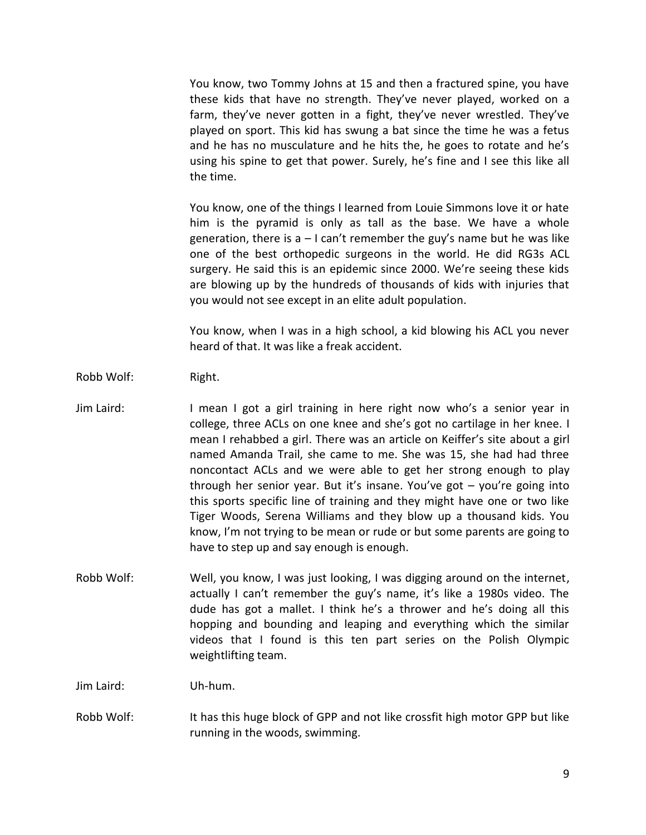You know, two Tommy Johns at 15 and then a fractured spine, you have these kids that have no strength. They've never played, worked on a farm, they've never gotten in a fight, they've never wrestled. They've played on sport. This kid has swung a bat since the time he was a fetus and he has no musculature and he hits the, he goes to rotate and he's using his spine to get that power. Surely, he's fine and I see this like all the time.

You know, one of the things I learned from Louie Simmons love it or hate him is the pyramid is only as tall as the base. We have a whole generation, there is  $a - 1$  can't remember the guy's name but he was like one of the best orthopedic surgeons in the world. He did RG3s ACL surgery. He said this is an epidemic since 2000. We're seeing these kids are blowing up by the hundreds of thousands of kids with injuries that you would not see except in an elite adult population.

You know, when I was in a high school, a kid blowing his ACL you never heard of that. It was like a freak accident.

- Robb Wolf: Right.
- Jim Laird: I mean I got a girl training in here right now who's a senior year in college, three ACLs on one knee and she's got no cartilage in her knee. I mean I rehabbed a girl. There was an article on Keiffer's site about a girl named Amanda Trail, she came to me. She was 15, she had had three noncontact ACLs and we were able to get her strong enough to play through her senior year. But it's insane. You've got – you're going into this sports specific line of training and they might have one or two like Tiger Woods, Serena Williams and they blow up a thousand kids. You know, I'm not trying to be mean or rude or but some parents are going to have to step up and say enough is enough.
- Robb Wolf: Well, you know, I was just looking, I was digging around on the internet, actually I can't remember the guy's name, it's like a 1980s video. The dude has got a mallet. I think he's a thrower and he's doing all this hopping and bounding and leaping and everything which the similar videos that I found is this ten part series on the Polish Olympic weightlifting team.

Jim Laird: Uh-hum.

Robb Wolf: It has this huge block of GPP and not like crossfit high motor GPP but like running in the woods, swimming.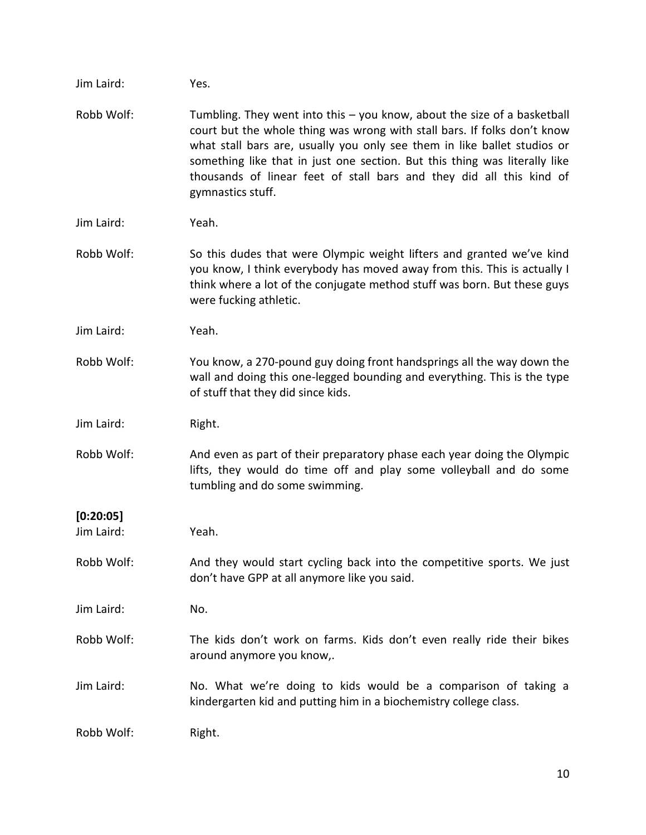| Jim Laird: | Yes.                                                                                                                                                                                                                                                                                                                                                                                                          |
|------------|---------------------------------------------------------------------------------------------------------------------------------------------------------------------------------------------------------------------------------------------------------------------------------------------------------------------------------------------------------------------------------------------------------------|
| Robb Wolf: | Tumbling. They went into this $-$ you know, about the size of a basketball<br>court but the whole thing was wrong with stall bars. If folks don't know<br>what stall bars are, usually you only see them in like ballet studios or<br>something like that in just one section. But this thing was literally like<br>thousands of linear feet of stall bars and they did all this kind of<br>gymnastics stuff. |
| Jim Laird: | Yeah.                                                                                                                                                                                                                                                                                                                                                                                                         |
| Robb Wolf: | So this dudes that were Olympic weight lifters and granted we've kind<br>you know, I think everybody has moved away from this. This is actually I<br>think where a lot of the conjugate method stuff was born. But these guys<br>were fucking athletic.                                                                                                                                                       |
| Jim Laird: | Yeah.                                                                                                                                                                                                                                                                                                                                                                                                         |
| Robb Wolf: | You know, a 270-pound guy doing front handsprings all the way down the<br>wall and doing this one-legged bounding and everything. This is the type<br>of stuff that they did since kids.                                                                                                                                                                                                                      |
| Jim Laird: | Right.                                                                                                                                                                                                                                                                                                                                                                                                        |
| Robb Wolf: | And even as part of their preparatory phase each year doing the Olympic<br>lifts, they would do time off and play some volleyball and do some<br>tumbling and do some swimming.                                                                                                                                                                                                                               |
| [0:20:05]  |                                                                                                                                                                                                                                                                                                                                                                                                               |
| Jim Laird: | Yeah.                                                                                                                                                                                                                                                                                                                                                                                                         |
| Robb Wolf: | And they would start cycling back into the competitive sports. We just<br>don't have GPP at all anymore like you said.                                                                                                                                                                                                                                                                                        |
| Jim Laird: | No.                                                                                                                                                                                                                                                                                                                                                                                                           |
| Robb Wolf: | The kids don't work on farms. Kids don't even really ride their bikes<br>around anymore you know,.                                                                                                                                                                                                                                                                                                            |
| Jim Laird: | No. What we're doing to kids would be a comparison of taking a<br>kindergarten kid and putting him in a biochemistry college class.                                                                                                                                                                                                                                                                           |
| Robb Wolf: | Right.                                                                                                                                                                                                                                                                                                                                                                                                        |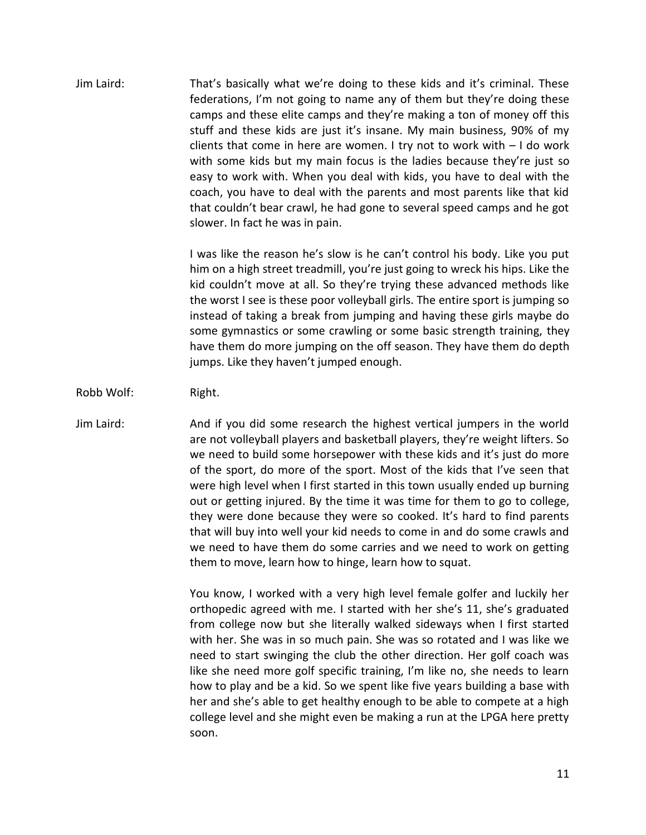Jim Laird: That's basically what we're doing to these kids and it's criminal. These federations, I'm not going to name any of them but they're doing these camps and these elite camps and they're making a ton of money off this stuff and these kids are just it's insane. My main business, 90% of my clients that come in here are women. I try not to work with – I do work with some kids but my main focus is the ladies because they're just so easy to work with. When you deal with kids, you have to deal with the coach, you have to deal with the parents and most parents like that kid that couldn't bear crawl, he had gone to several speed camps and he got slower. In fact he was in pain.

> I was like the reason he's slow is he can't control his body. Like you put him on a high street treadmill, you're just going to wreck his hips. Like the kid couldn't move at all. So they're trying these advanced methods like the worst I see is these poor volleyball girls. The entire sport is jumping so instead of taking a break from jumping and having these girls maybe do some gymnastics or some crawling or some basic strength training, they have them do more jumping on the off season. They have them do depth jumps. Like they haven't jumped enough.

- Robb Wolf: Right.
- Jim Laird: And if you did some research the highest vertical jumpers in the world are not volleyball players and basketball players, they're weight lifters. So we need to build some horsepower with these kids and it's just do more of the sport, do more of the sport. Most of the kids that I've seen that were high level when I first started in this town usually ended up burning out or getting injured. By the time it was time for them to go to college, they were done because they were so cooked. It's hard to find parents that will buy into well your kid needs to come in and do some crawls and we need to have them do some carries and we need to work on getting them to move, learn how to hinge, learn how to squat.

You know, I worked with a very high level female golfer and luckily her orthopedic agreed with me. I started with her she's 11, she's graduated from college now but she literally walked sideways when I first started with her. She was in so much pain. She was so rotated and I was like we need to start swinging the club the other direction. Her golf coach was like she need more golf specific training, I'm like no, she needs to learn how to play and be a kid. So we spent like five years building a base with her and she's able to get healthy enough to be able to compete at a high college level and she might even be making a run at the LPGA here pretty soon.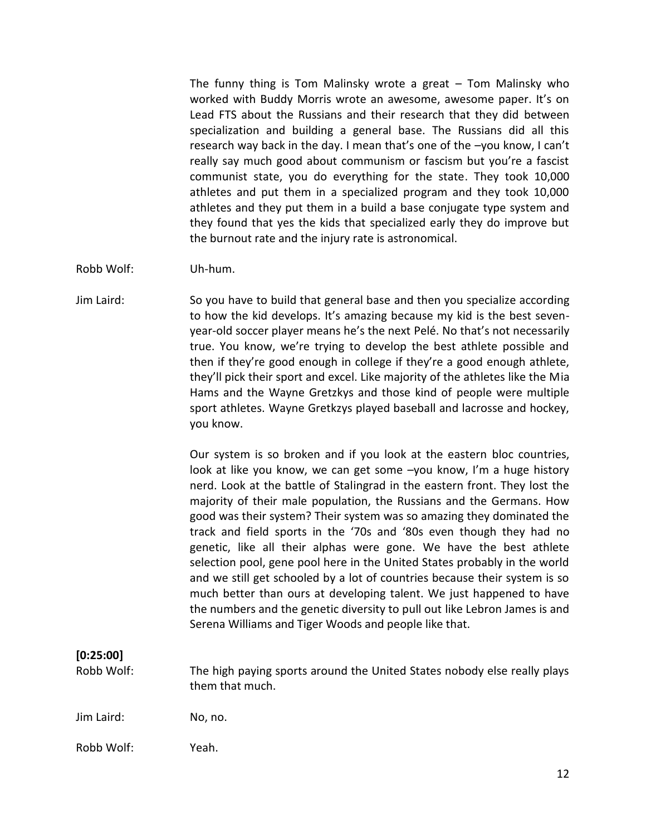The funny thing is Tom Malinsky wrote a great – Tom Malinsky who worked with Buddy Morris wrote an awesome, awesome paper. It's on Lead FTS about the Russians and their research that they did between specialization and building a general base. The Russians did all this research way back in the day. I mean that's one of the –you know, I can't really say much good about communism or fascism but you're a fascist communist state, you do everything for the state. They took 10,000 athletes and put them in a specialized program and they took 10,000 athletes and they put them in a build a base conjugate type system and they found that yes the kids that specialized early they do improve but the burnout rate and the injury rate is astronomical.

Robb Wolf: Uh-hum.

Jim Laird: So you have to build that general base and then you specialize according to how the kid develops. It's amazing because my kid is the best seven year-old soccer player means he's the next Pelé. No that's not necessarily true. You know, we're trying to develop the best athlete possible and then if they're good enough in college if they're a good enough athlete, they'll pick their sport and excel. Like majority of the athletes like the Mia Hams and the Wayne Gretzkys and those kind of people were multiple sport athletes. Wayne Gretkzys played baseball and lacrosse and hockey, you know.

> Our system is so broken and if you look at the eastern bloc countries, look at like you know, we can get some –you know, I'm a huge history nerd. Look at the battle of Stalingrad in the eastern front. They lost the majority of their male population, the Russians and the Germans. How good was their system? Their system was so amazing they dominated the track and field sports in the '70s and '80s even though they had no genetic, like all their alphas were gone. We have the best athlete selection pool, gene pool here in the United States probably in the world and we still get schooled by a lot of countries because their system is so much better than ours at developing talent. We just happened to have the numbers and the genetic diversity to pull out like Lebron James is and Serena Williams and Tiger Woods and people like that.

## **[0:25:00]**

Robb Wolf: The high paying sports around the United States nobody else really plays them that much.

Jim Laird: No, no.

Robb Wolf: Yeah.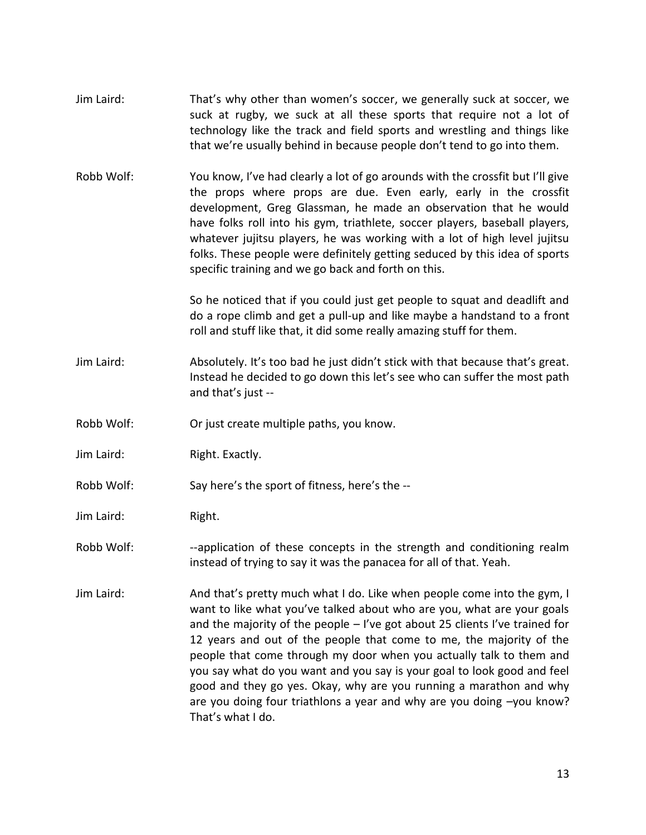- Jim Laird: That's why other than women's soccer, we generally suck at soccer, we suck at rugby, we suck at all these sports that require not a lot of technology like the track and field sports and wrestling and things like that we're usually behind in because people don't tend to go into them.
- Robb Wolf: You know, I've had clearly a lot of go arounds with the crossfit but I'll give the props where props are due. Even early, early in the crossfit development, Greg Glassman, he made an observation that he would have folks roll into his gym, triathlete, soccer players, baseball players, whatever jujitsu players, he was working with a lot of high level jujitsu folks. These people were definitely getting seduced by this idea of sports specific training and we go back and forth on this.

So he noticed that if you could just get people to squat and deadlift and do a rope climb and get a pull-up and like maybe a handstand to a front roll and stuff like that, it did some really amazing stuff for them.

- Jim Laird: Absolutely. It's too bad he just didn't stick with that because that's great. Instead he decided to go down this let's see who can suffer the most path and that's just --
- Robb Wolf: Or just create multiple paths, you know.
- Jim Laird: Right. Exactly.
- Robb Wolf: Say here's the sport of fitness, here's the --
- Jim Laird: Right.
- Robb Wolf: --application of these concepts in the strength and conditioning realm instead of trying to say it was the panacea for all of that. Yeah.
- Jim Laird: And that's pretty much what I do. Like when people come into the gym, I want to like what you've talked about who are you, what are your goals and the majority of the people – I've got about 25 clients I've trained for 12 years and out of the people that come to me, the majority of the people that come through my door when you actually talk to them and you say what do you want and you say is your goal to look good and feel good and they go yes. Okay, why are you running a marathon and why are you doing four triathlons a year and why are you doing –you know? That's what I do.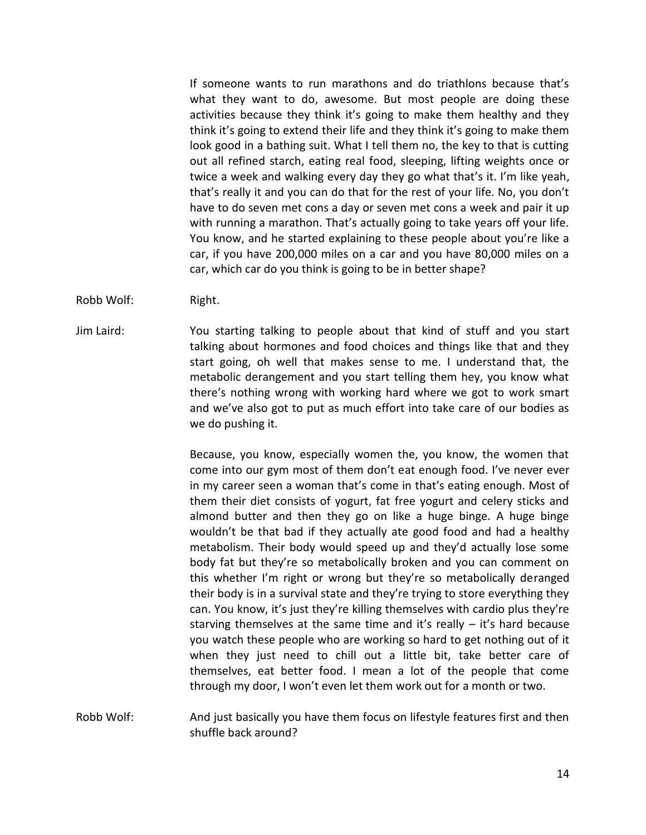If someone wants to run marathons and do triathlons because that's what they want to do, awesome. But most people are doing these activities because they think it's going to make them healthy and they think it's going to extend their life and they think it's going to make them look good in a bathing suit. What I tell them no, the key to that is cutting out all refined starch, eating real food, sleeping, lifting weights once or twice a week and walking every day they go what that's it. I'm like yeah, that's really it and you can do that for the rest of your life. No, you don't have to do seven met cons a day or seven met cons a week and pair it up with running a marathon. That's actually going to take years off your life. You know, and he started explaining to these people about you're like a car, if you have 200,000 miles on a car and you have 80,000 miles on a car, which car do you think is going to be in better shape?

- Robb Wolf: Right.
- Jim Laird: You starting talking to people about that kind of stuff and you start talking about hormones and food choices and things like that and they start going, oh well that makes sense to me. I understand that, the metabolic derangement and you start telling them hey, you know what there's nothing wrong with working hard where we got to work smart and we've also got to put as much effort into take care of our bodies as we do pushing it.

Because, you know, especially women the, you know, the women that come into our gym most of them don't eat enough food. I've never ever in my career seen a woman that's come in that's eating enough. Most of them their diet consists of yogurt, fat free yogurt and celery sticks and almond butter and then they go on like a huge binge. A huge binge wouldn't be that bad if they actually ate good food and had a healthy metabolism. Their body would speed up and they'd actually lose some body fat but they're so metabolically broken and you can comment on this whether I'm right or wrong but they're so metabolically deranged their body is in a survival state and they're trying to store everything they can. You know, it's just they're killing themselves with cardio plus they're starving themselves at the same time and it's really – it's hard because you watch these people who are working so hard to get nothing out of it when they just need to chill out a little bit, take better care of themselves, eat better food. I mean a lot of the people that come through my door, I won't even let them work out for a month or two.

Robb Wolf: And just basically you have them focus on lifestyle features first and then shuffle back around?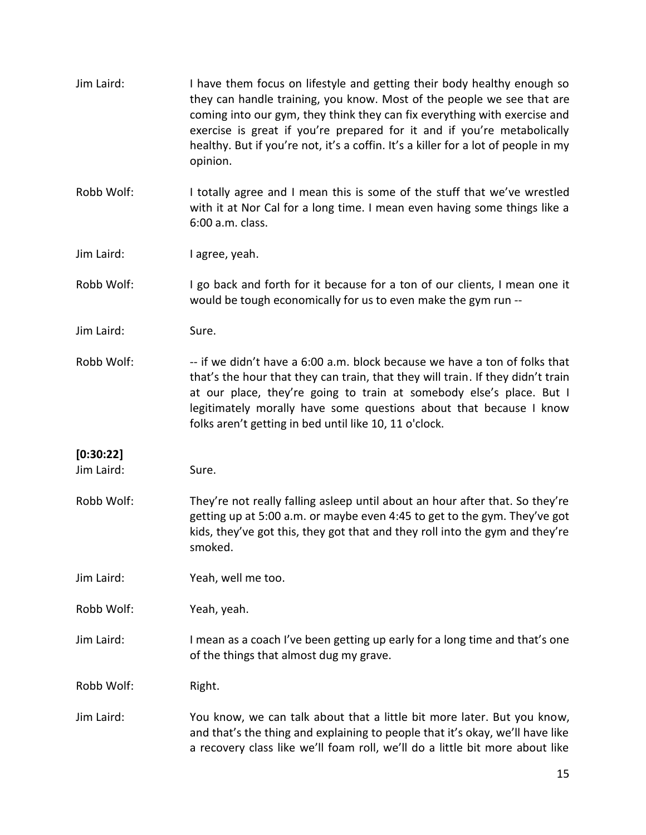| Jim Laird:              | I have them focus on lifestyle and getting their body healthy enough so<br>they can handle training, you know. Most of the people we see that are<br>coming into our gym, they think they can fix everything with exercise and<br>exercise is great if you're prepared for it and if you're metabolically<br>healthy. But if you're not, it's a coffin. It's a killer for a lot of people in my<br>opinion. |
|-------------------------|-------------------------------------------------------------------------------------------------------------------------------------------------------------------------------------------------------------------------------------------------------------------------------------------------------------------------------------------------------------------------------------------------------------|
| Robb Wolf:              | I totally agree and I mean this is some of the stuff that we've wrestled<br>with it at Nor Cal for a long time. I mean even having some things like a<br>6:00 a.m. class.                                                                                                                                                                                                                                   |
| Jim Laird:              | I agree, yeah.                                                                                                                                                                                                                                                                                                                                                                                              |
| Robb Wolf:              | I go back and forth for it because for a ton of our clients, I mean one it<br>would be tough economically for us to even make the gym run --                                                                                                                                                                                                                                                                |
| Jim Laird:              | Sure.                                                                                                                                                                                                                                                                                                                                                                                                       |
| Robb Wolf:              | -- if we didn't have a 6:00 a.m. block because we have a ton of folks that<br>that's the hour that they can train, that they will train. If they didn't train<br>at our place, they're going to train at somebody else's place. But I<br>legitimately morally have some questions about that because I know<br>folks aren't getting in bed until like 10, 11 o'clock.                                       |
| [0:30:22]<br>Jim Laird: | Sure.                                                                                                                                                                                                                                                                                                                                                                                                       |
| Robb Wolf:              | They're not really falling asleep until about an hour after that. So they're<br>getting up at 5:00 a.m. or maybe even 4:45 to get to the gym. They've got<br>kids, they've got this, they got that and they roll into the gym and they're<br>smoked.                                                                                                                                                        |
| Jim Laird:              | Yeah, well me too.                                                                                                                                                                                                                                                                                                                                                                                          |
| Robb Wolf:              | Yeah, yeah.                                                                                                                                                                                                                                                                                                                                                                                                 |
| Jim Laird:              | I mean as a coach I've been getting up early for a long time and that's one<br>of the things that almost dug my grave.                                                                                                                                                                                                                                                                                      |
| Robb Wolf:              | Right.                                                                                                                                                                                                                                                                                                                                                                                                      |
| Jim Laird:              | You know, we can talk about that a little bit more later. But you know,<br>and that's the thing and explaining to people that it's okay, we'll have like<br>a recovery class like we'll foam roll, we'll do a little bit more about like                                                                                                                                                                    |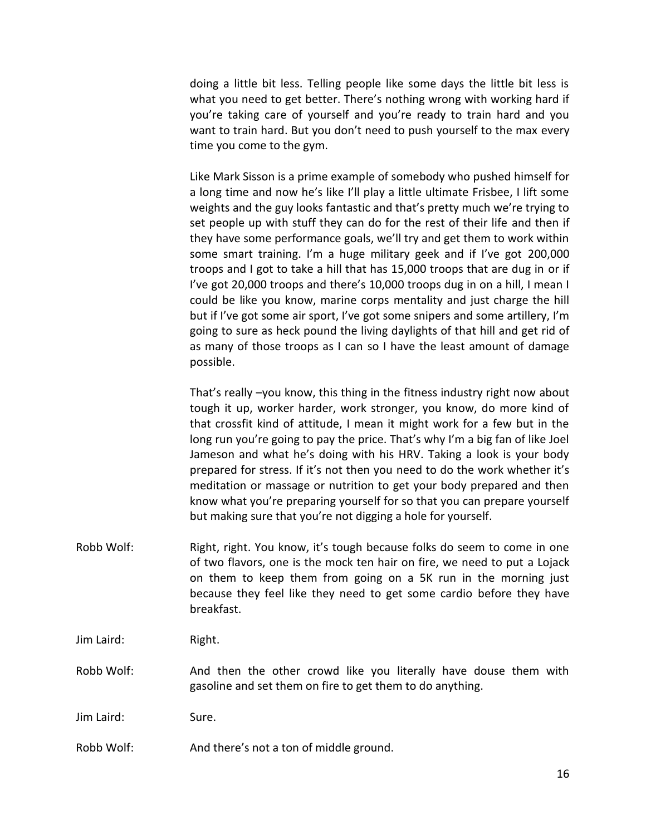doing a little bit less. Telling people like some days the little bit less is what you need to get better. There's nothing wrong with working hard if you're taking care of yourself and you're ready to train hard and you want to train hard. But you don't need to push yourself to the max every time you come to the gym.

Like Mark Sisson is a prime example of somebody who pushed himself for a long time and now he's like I'll play a little ultimate Frisbee, I lift some weights and the guy looks fantastic and that's pretty much we're trying to set people up with stuff they can do for the rest of their life and then if they have some performance goals, we'll try and get them to work within some smart training. I'm a huge military geek and if I've got 200,000 troops and I got to take a hill that has 15,000 troops that are dug in or if I've got 20,000 troops and there's 10,000 troops dug in on a hill, I mean I could be like you know, marine corps mentality and just charge the hill but if I've got some air sport, I've got some snipers and some artillery, I'm going to sure as heck pound the living daylights of that hill and get rid of as many of those troops as I can so I have the least amount of damage possible.

That's really –you know, this thing in the fitness industry right now about tough it up, worker harder, work stronger, you know, do more kind of that crossfit kind of attitude, I mean it might work for a few but in the long run you're going to pay the price. That's why I'm a big fan of like Joel Jameson and what he's doing with his HRV. Taking a look is your body prepared for stress. If it's not then you need to do the work whether it's meditation or massage or nutrition to get your body prepared and then know what you're preparing yourself for so that you can prepare yourself but making sure that you're not digging a hole for yourself.

Robb Wolf: Right, right. You know, it's tough because folks do seem to come in one of two flavors, one is the mock ten hair on fire, we need to put a Lojack on them to keep them from going on a 5K run in the morning just because they feel like they need to get some cardio before they have breakfast.

Jim Laird: Right.

Robb Wolf: And then the other crowd like you literally have douse them with gasoline and set them on fire to get them to do anything.

Jim Laird: Sure.

Robb Wolf: And there's not a ton of middle ground.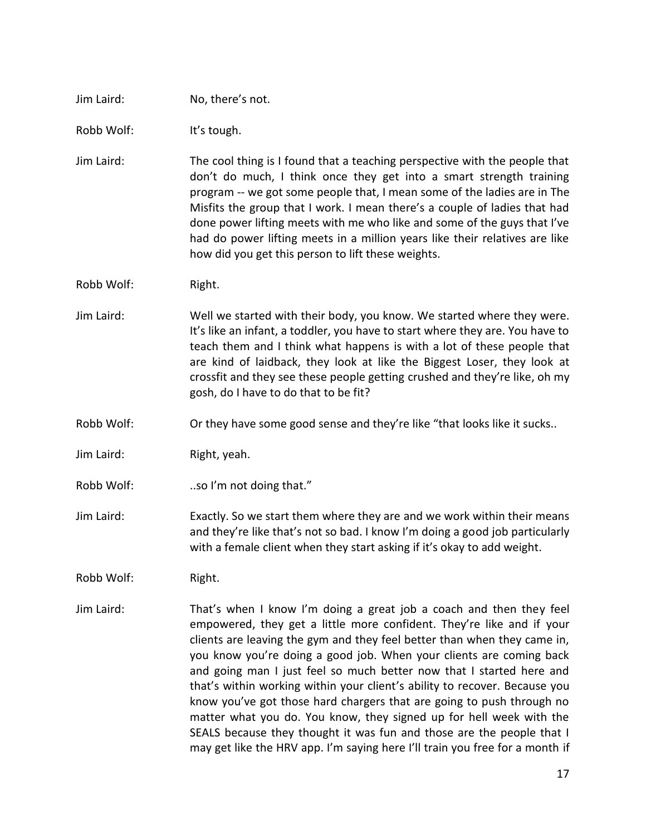#### Jim Laird: No, there's not.

Robb Wolf: It's tough.

- Jim Laird: The cool thing is I found that a teaching perspective with the people that don't do much, I think once they get into a smart strength training program -- we got some people that, I mean some of the ladies are in The Misfits the group that I work. I mean there's a couple of ladies that had done power lifting meets with me who like and some of the guys that I've had do power lifting meets in a million years like their relatives are like how did you get this person to lift these weights.
- Robb Wolf: Right.
- Jim Laird: Well we started with their body, you know. We started where they were. It's like an infant, a toddler, you have to start where they are. You have to teach them and I think what happens is with a lot of these people that are kind of laidback, they look at like the Biggest Loser, they look at crossfit and they see these people getting crushed and they're like, oh my gosh, do I have to do that to be fit?
- Robb Wolf: Or they have some good sense and they're like "that looks like it sucks..
- Jim Laird: Right, yeah.
- Robb Wolf: ..so I'm not doing that."
- Jim Laird: Exactly. So we start them where they are and we work within their means and they're like that's not so bad. I know I'm doing a good job particularly with a female client when they start asking if it's okay to add weight.
- Robb Wolf: Right.
- Jim Laird: That's when I know I'm doing a great job a coach and then they feel empowered, they get a little more confident. They're like and if your clients are leaving the gym and they feel better than when they came in, you know you're doing a good job. When your clients are coming back and going man I just feel so much better now that I started here and that's within working within your client's ability to recover. Because you know you've got those hard chargers that are going to push through no matter what you do. You know, they signed up for hell week with the SEALS because they thought it was fun and those are the people that I may get like the HRV app. I'm saying here I'll train you free for a month if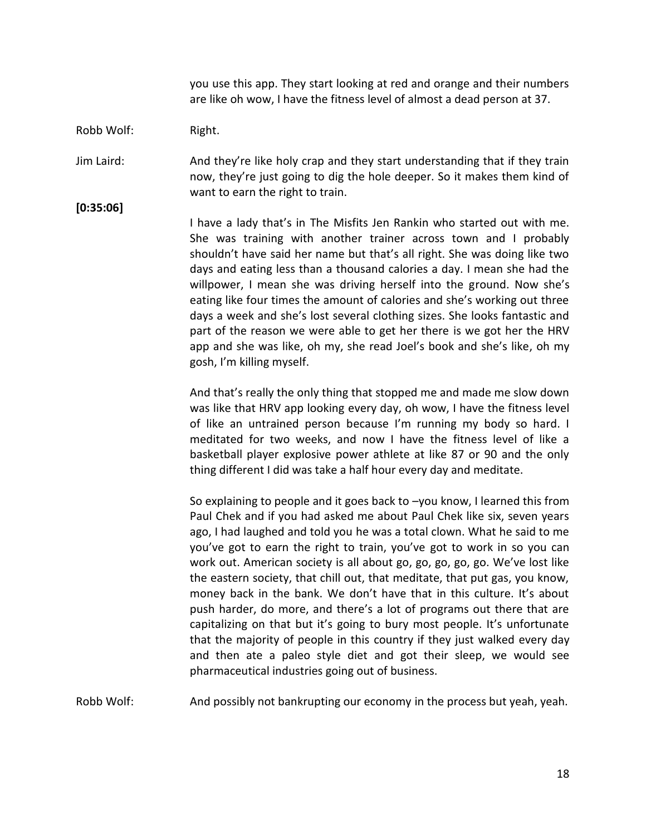you use this app. They start looking at red and orange and their numbers are like oh wow, I have the fitness level of almost a dead person at 37.

#### Robb Wolf: Right.

Jim Laird: And they're like holy crap and they start understanding that if they train now, they're just going to dig the hole deeper. So it makes them kind of want to earn the right to train.

**[0:35:06]**

I have a lady that's in The Misfits Jen Rankin who started out with me. She was training with another trainer across town and I probably shouldn't have said her name but that's all right. She was doing like two days and eating less than a thousand calories a day. I mean she had the willpower, I mean she was driving herself into the ground. Now she's eating like four times the amount of calories and she's working out three days a week and she's lost several clothing sizes. She looks fantastic and part of the reason we were able to get her there is we got her the HRV app and she was like, oh my, she read Joel's book and she's like, oh my gosh, I'm killing myself.

And that's really the only thing that stopped me and made me slow down was like that HRV app looking every day, oh wow, I have the fitness level of like an untrained person because I'm running my body so hard. I meditated for two weeks, and now I have the fitness level of like a basketball player explosive power athlete at like 87 or 90 and the only thing different I did was take a half hour every day and meditate.

So explaining to people and it goes back to –you know, I learned this from Paul Chek and if you had asked me about Paul Chek like six, seven years ago, I had laughed and told you he was a total clown. What he said to me you've got to earn the right to train, you've got to work in so you can work out. American society is all about go, go, go, go, go. We've lost like the eastern society, that chill out, that meditate, that put gas, you know, money back in the bank. We don't have that in this culture. It's about push harder, do more, and there's a lot of programs out there that are capitalizing on that but it's going to bury most people. It's unfortunate that the majority of people in this country if they just walked every day and then ate a paleo style diet and got their sleep, we would see pharmaceutical industries going out of business.

Robb Wolf: And possibly not bankrupting our economy in the process but yeah, yeah.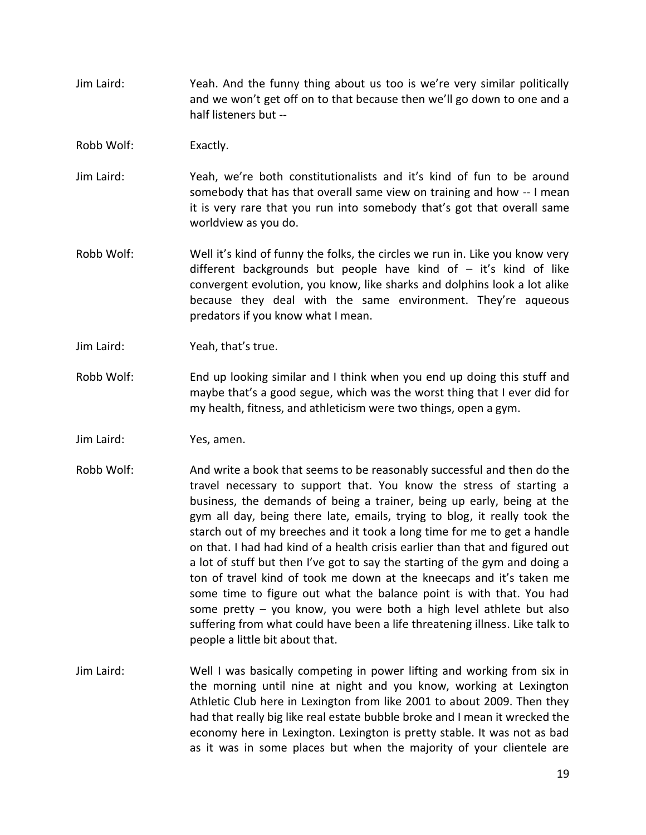- Jim Laird: Yeah. And the funny thing about us too is we're very similar politically and we won't get off on to that because then we'll go down to one and a half listeners but --
- Robb Wolf: Exactly.
- Jim Laird: Yeah, we're both constitutionalists and it's kind of fun to be around somebody that has that overall same view on training and how -- I mean it is very rare that you run into somebody that's got that overall same worldview as you do.
- Robb Wolf: Well it's kind of funny the folks, the circles we run in. Like you know very different backgrounds but people have kind of – it's kind of like convergent evolution, you know, like sharks and dolphins look a lot alike because they deal with the same environment. They're aqueous predators if you know what I mean.
- Jim Laird: Yeah, that's true.
- Robb Wolf: End up looking similar and I think when you end up doing this stuff and maybe that's a good segue, which was the worst thing that I ever did for my health, fitness, and athleticism were two things, open a gym.
- Jim Laird: Yes, amen.
- Robb Wolf: And write a book that seems to be reasonably successful and then do the travel necessary to support that. You know the stress of starting a business, the demands of being a trainer, being up early, being at the gym all day, being there late, emails, trying to blog, it really took the starch out of my breeches and it took a long time for me to get a handle on that. I had had kind of a health crisis earlier than that and figured out a lot of stuff but then I've got to say the starting of the gym and doing a ton of travel kind of took me down at the kneecaps and it's taken me some time to figure out what the balance point is with that. You had some pretty – you know, you were both a high level athlete but also suffering from what could have been a life threatening illness. Like talk to people a little bit about that.
- Jim Laird: Well I was basically competing in power lifting and working from six in the morning until nine at night and you know, working at Lexington Athletic Club here in Lexington from like 2001 to about 2009. Then they had that really big like real estate bubble broke and I mean it wrecked the economy here in Lexington. Lexington is pretty stable. It was not as bad as it was in some places but when the majority of your clientele are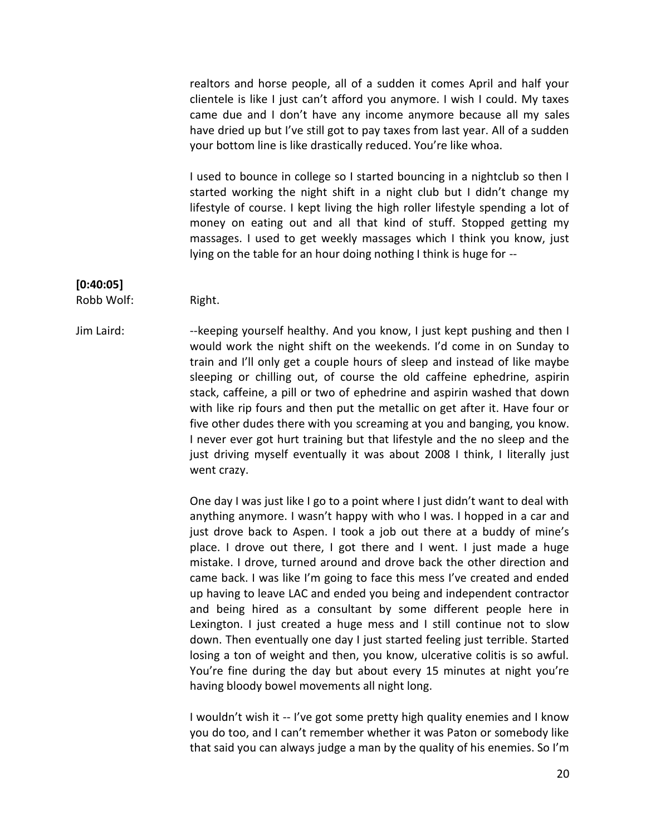realtors and horse people, all of a sudden it comes April and half your clientele is like I just can't afford you anymore. I wish I could. My taxes came due and I don't have any income anymore because all my sales have dried up but I've still got to pay taxes from last year. All of a sudden your bottom line is like drastically reduced. You're like whoa.

I used to bounce in college so I started bouncing in a nightclub so then I started working the night shift in a night club but I didn't change my lifestyle of course. I kept living the high roller lifestyle spending a lot of money on eating out and all that kind of stuff. Stopped getting my massages. I used to get weekly massages which I think you know, just lying on the table for an hour doing nothing I think is huge for --

#### **[0:40:05]**

Robb Wolf: Right.

Jim Laird: --keeping yourself healthy. And you know, I just kept pushing and then I would work the night shift on the weekends. I'd come in on Sunday to train and I'll only get a couple hours of sleep and instead of like maybe sleeping or chilling out, of course the old caffeine ephedrine, aspirin stack, caffeine, a pill or two of ephedrine and aspirin washed that down with like rip fours and then put the metallic on get after it. Have four or five other dudes there with you screaming at you and banging, you know. I never ever got hurt training but that lifestyle and the no sleep and the just driving myself eventually it was about 2008 I think, I literally just went crazy.

> One day I was just like I go to a point where I just didn't want to deal with anything anymore. I wasn't happy with who I was. I hopped in a car and just drove back to Aspen. I took a job out there at a buddy of mine's place. I drove out there, I got there and I went. I just made a huge mistake. I drove, turned around and drove back the other direction and came back. I was like I'm going to face this mess I've created and ended up having to leave LAC and ended you being and independent contractor and being hired as a consultant by some different people here in Lexington. I just created a huge mess and I still continue not to slow down. Then eventually one day I just started feeling just terrible. Started losing a ton of weight and then, you know, ulcerative colitis is so awful. You're fine during the day but about every 15 minutes at night you're having bloody bowel movements all night long.

> I wouldn't wish it -- I've got some pretty high quality enemies and I know you do too, and I can't remember whether it was Paton or somebody like that said you can always judge a man by the quality of his enemies. So I'm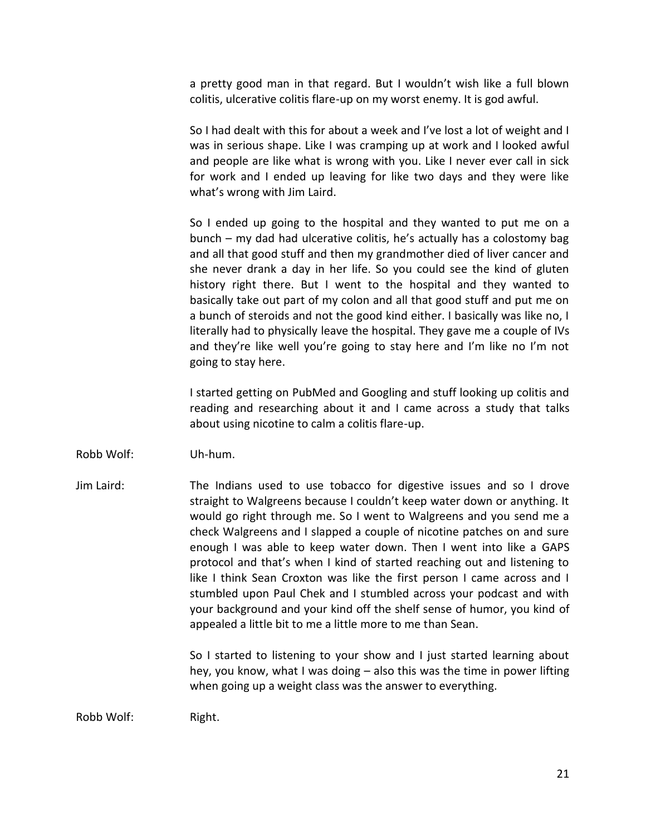a pretty good man in that regard. But I wouldn't wish like a full blown colitis, ulcerative colitis flare-up on my worst enemy. It is god awful.

So I had dealt with this for about a week and I've lost a lot of weight and I was in serious shape. Like I was cramping up at work and I looked awful and people are like what is wrong with you. Like I never ever call in sick for work and I ended up leaving for like two days and they were like what's wrong with Jim Laird.

So I ended up going to the hospital and they wanted to put me on a bunch – my dad had ulcerative colitis, he's actually has a colostomy bag and all that good stuff and then my grandmother died of liver cancer and she never drank a day in her life. So you could see the kind of gluten history right there. But I went to the hospital and they wanted to basically take out part of my colon and all that good stuff and put me on a bunch of steroids and not the good kind either. I basically was like no, I literally had to physically leave the hospital. They gave me a couple of IVs and they're like well you're going to stay here and I'm like no I'm not going to stay here.

I started getting on PubMed and Googling and stuff looking up colitis and reading and researching about it and I came across a study that talks about using nicotine to calm a colitis flare-up.

- Robb Wolf: Uh-hum.
- Jim Laird: The Indians used to use tobacco for digestive issues and so I drove straight to Walgreens because I couldn't keep water down or anything. It would go right through me. So I went to Walgreens and you send me a check Walgreens and I slapped a couple of nicotine patches on and sure enough I was able to keep water down. Then I went into like a GAPS protocol and that's when I kind of started reaching out and listening to like I think Sean Croxton was like the first person I came across and I stumbled upon Paul Chek and I stumbled across your podcast and with your background and your kind off the shelf sense of humor, you kind of appealed a little bit to me a little more to me than Sean.

So I started to listening to your show and I just started learning about hey, you know, what I was doing – also this was the time in power lifting when going up a weight class was the answer to everything.

Robb Wolf: Right.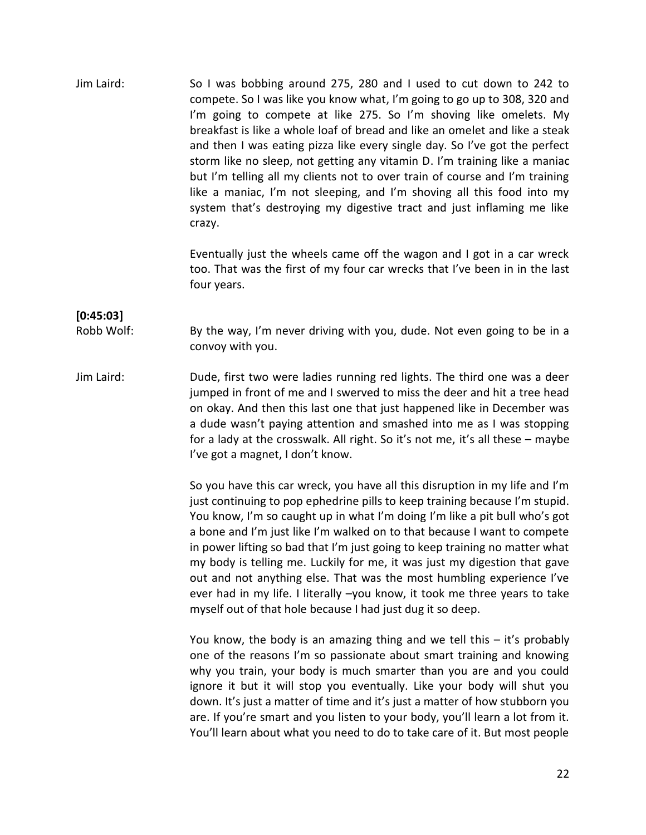Jim Laird: So I was bobbing around 275, 280 and I used to cut down to 242 to compete. So I was like you know what, I'm going to go up to 308, 320 and I'm going to compete at like 275. So I'm shoving like omelets. My breakfast is like a whole loaf of bread and like an omelet and like a steak and then I was eating pizza like every single day. So I've got the perfect storm like no sleep, not getting any vitamin D. I'm training like a maniac but I'm telling all my clients not to over train of course and I'm training like a maniac, I'm not sleeping, and I'm shoving all this food into my system that's destroying my digestive tract and just inflaming me like crazy.

> Eventually just the wheels came off the wagon and I got in a car wreck too. That was the first of my four car wrecks that I've been in in the last four years.

#### **[0:45:03]**

Robb Wolf: By the way, I'm never driving with you, dude. Not even going to be in a convoy with you.

Jim Laird: Dude, first two were ladies running red lights. The third one was a deer jumped in front of me and I swerved to miss the deer and hit a tree head on okay. And then this last one that just happened like in December was a dude wasn't paying attention and smashed into me as I was stopping for a lady at the crosswalk. All right. So it's not me, it's all these – maybe I've got a magnet, I don't know.

> So you have this car wreck, you have all this disruption in my life and I'm just continuing to pop ephedrine pills to keep training because I'm stupid. You know, I'm so caught up in what I'm doing I'm like a pit bull who's got a bone and I'm just like I'm walked on to that because I want to compete in power lifting so bad that I'm just going to keep training no matter what my body is telling me. Luckily for me, it was just my digestion that gave out and not anything else. That was the most humbling experience I've ever had in my life. I literally –you know, it took me three years to take myself out of that hole because I had just dug it so deep.

> You know, the body is an amazing thing and we tell this – it's probably one of the reasons I'm so passionate about smart training and knowing why you train, your body is much smarter than you are and you could ignore it but it will stop you eventually. Like your body will shut you down. It's just a matter of time and it's just a matter of how stubborn you are. If you're smart and you listen to your body, you'll learn a lot from it. You'll learn about what you need to do to take care of it. But most people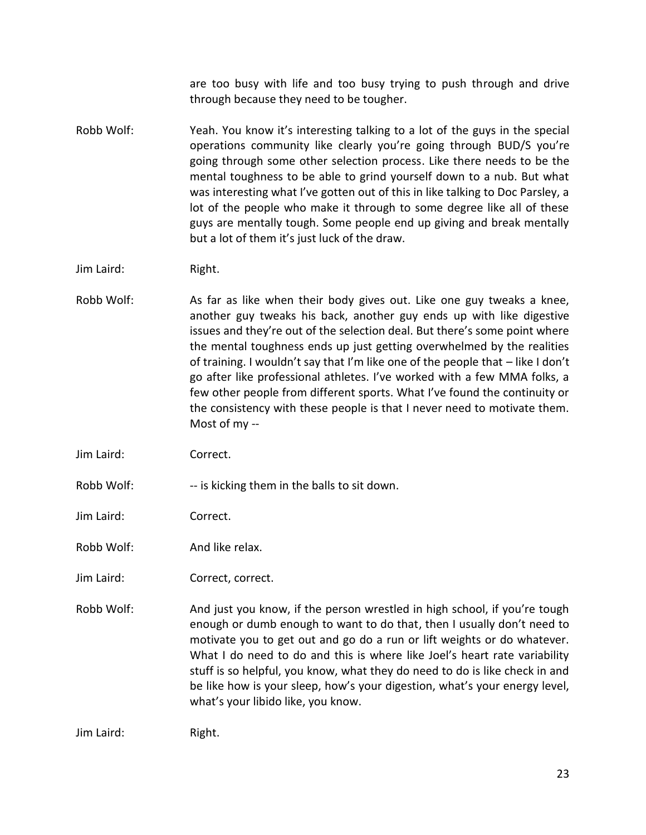are too busy with life and too busy trying to push through and drive through because they need to be tougher.

Robb Wolf: Yeah. You know it's interesting talking to a lot of the guys in the special operations community like clearly you're going through BUD/S you're going through some other selection process. Like there needs to be the mental toughness to be able to grind yourself down to a nub. But what was interesting what I've gotten out of this in like talking to Doc Parsley, a lot of the people who make it through to some degree like all of these guys are mentally tough. Some people end up giving and break mentally but a lot of them it's just luck of the draw.

Robb Wolf: As far as like when their body gives out. Like one guy tweaks a knee, another guy tweaks his back, another guy ends up with like digestive issues and they're out of the selection deal. But there's some point where the mental toughness ends up just getting overwhelmed by the realities of training. I wouldn't say that I'm like one of the people that – like I don't go after like professional athletes. I've worked with a few MMA folks, a few other people from different sports. What I've found the continuity or the consistency with these people is that I never need to motivate them. Most of my --

Jim Laird: Correct.

Robb Wolf: -- is kicking them in the balls to sit down.

Jim Laird: Correct.

Robb Wolf: And like relax.

Jim Laird: Correct, correct.

Robb Wolf: And just you know, if the person wrestled in high school, if you're tough enough or dumb enough to want to do that, then I usually don't need to motivate you to get out and go do a run or lift weights or do whatever. What I do need to do and this is where like Joel's heart rate variability stuff is so helpful, you know, what they do need to do is like check in and be like how is your sleep, how's your digestion, what's your energy level, what's your libido like, you know.

Jim Laird: Right.

Jim Laird: Right.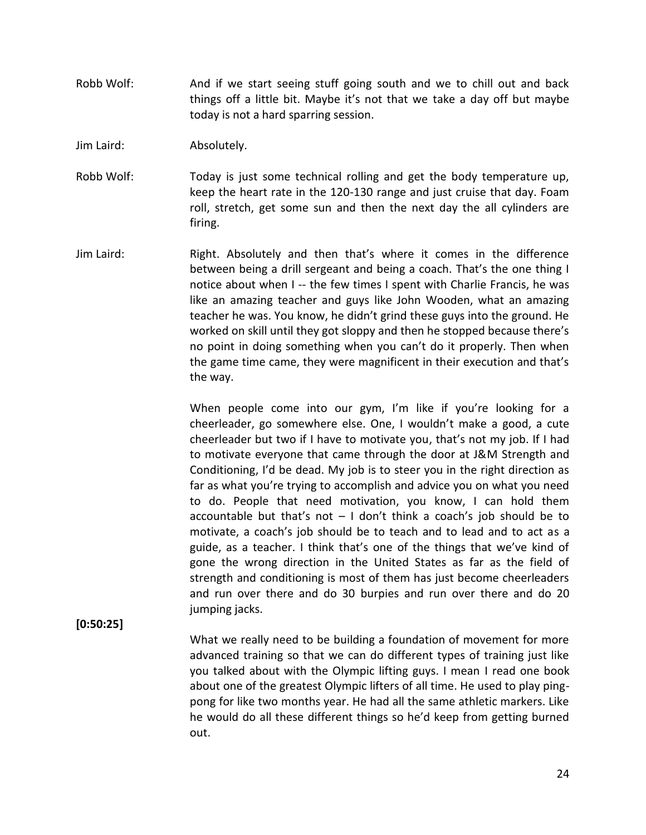- Robb Wolf: And if we start seeing stuff going south and we to chill out and back things off a little bit. Maybe it's not that we take a day off but maybe today is not a hard sparring session.
- Jim Laird: Absolutely.
- Robb Wolf: Today is just some technical rolling and get the body temperature up, keep the heart rate in the 120-130 range and just cruise that day. Foam roll, stretch, get some sun and then the next day the all cylinders are firing.
- Jim Laird: Right. Absolutely and then that's where it comes in the difference between being a drill sergeant and being a coach. That's the one thing I notice about when I -- the few times I spent with Charlie Francis, he was like an amazing teacher and guys like John Wooden, what an amazing teacher he was. You know, he didn't grind these guys into the ground. He worked on skill until they got sloppy and then he stopped because there's no point in doing something when you can't do it properly. Then when the game time came, they were magnificent in their execution and that's the way.

When people come into our gym, I'm like if you're looking for a cheerleader, go somewhere else. One, I wouldn't make a good, a cute cheerleader but two if I have to motivate you, that's not my job. If I had to motivate everyone that came through the door at J&M Strength and Conditioning, I'd be dead. My job is to steer you in the right direction as far as what you're trying to accomplish and advice you on what you need to do. People that need motivation, you know, I can hold them accountable but that's not  $-1$  don't think a coach's job should be to motivate, a coach's job should be to teach and to lead and to act as a guide, as a teacher. I think that's one of the things that we've kind of gone the wrong direction in the United States as far as the field of strength and conditioning is most of them has just become cheerleaders and run over there and do 30 burpies and run over there and do 20 jumping jacks.

### **[0:50:25]**

What we really need to be building a foundation of movement for more advanced training so that we can do different types of training just like you talked about with the Olympic lifting guys. I mean I read one book about one of the greatest Olympic lifters of all time. He used to play ping pong for like two months year. He had all the same athletic markers. Like he would do all these different things so he'd keep from getting burned out.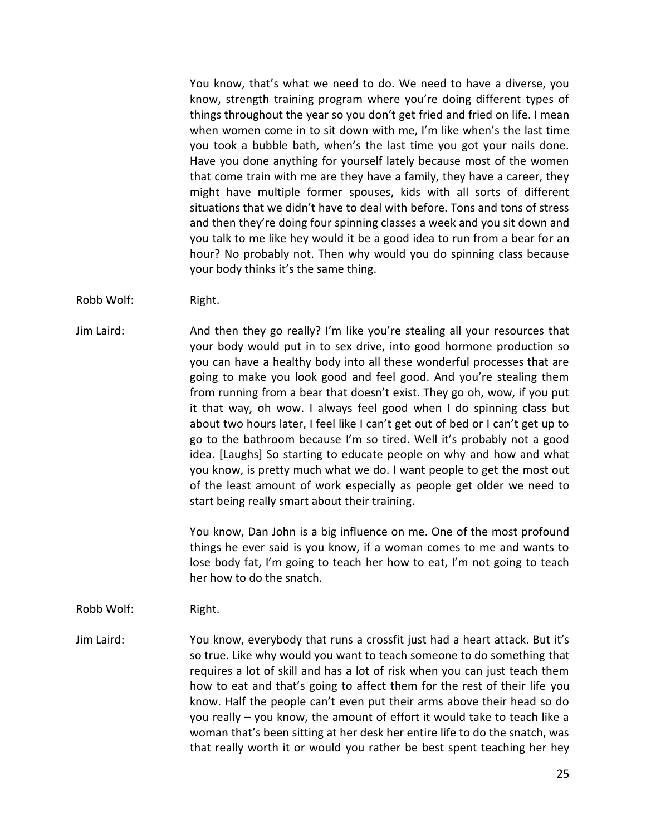You know, that's what we need to do. We need to have a diverse, you know, strength training program where you're doing different types of things throughout the year so you don't get fried and fried on life. I mean when women come in to sit down with me, I'm like when's the last time you took a bubble bath, when's the last time you got your nails done. Have you done anything for yourself lately because most of the women that come train with me are they have a family, they have a career, they might have multiple former spouses, kids with all sorts of different situations that we didn't have to deal with before. Tons and tons of stress and then they're doing four spinning classes a week and you sit down and you talk to me like hey would it be a good idea to run from a bear for an hour? No probably not. Then why would you do spinning class because your body thinks it's the same thing.

- Robb Wolf: Right.
- Jim Laird: And then they go really? I'm like you're stealing all your resources that your body would put in to sex drive, into good hormone production so you can have a healthy body into all these wonderful processes that are going to make you look good and feel good. And you're stealing them from running from a bear that doesn't exist. They go oh, wow, if you put it that way, oh wow. I always feel good when I do spinning class but about two hours later, I feel like I can't get out of bed or I can't get up to go to the bathroom because I'm so tired. Well it's probably not a good idea. [Laughs] So starting to educate people on why and how and what you know, is pretty much what we do. I want people to get the most out of the least amount of work especially as people get older we need to start being really smart about their training.

You know, Dan John is a big influence on me. One of the most profound things he ever said is you know, if a woman comes to me and wants to lose body fat, I'm going to teach her how to eat, I'm not going to teach her how to do the snatch.

#### Robb Wolf: Right.

Jim Laird: You know, everybody that runs a crossfit just had a heart attack. But it's so true. Like why would you want to teach someone to do something that requires a lot of skill and has a lot of risk when you can just teach them how to eat and that's going to affect them for the rest of their life you know. Half the people can't even put their arms above their head so do you really – you know, the amount of effort it would take to teach like a woman that's been sitting at her desk her entire life to do the snatch, was that really worth it or would you rather be best spent teaching her hey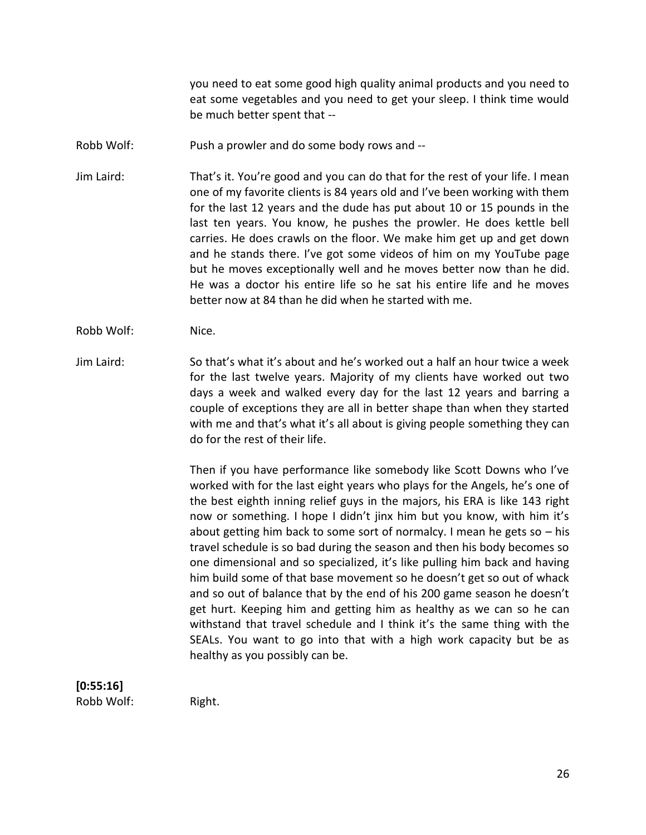you need to eat some good high quality animal products and you need to eat some vegetables and you need to get your sleep. I think time would be much better spent that --

Robb Wolf: Push a prowler and do some body rows and --

Jim Laird: That's it. You're good and you can do that for the rest of your life. I mean one of my favorite clients is 84 years old and I've been working with them for the last 12 years and the dude has put about 10 or 15 pounds in the last ten years. You know, he pushes the prowler. He does kettle bell carries. He does crawls on the floor. We make him get up and get down and he stands there. I've got some videos of him on my YouTube page but he moves exceptionally well and he moves better now than he did. He was a doctor his entire life so he sat his entire life and he moves better now at 84 than he did when he started with me.

- Robb Wolf: Nice.
- Jim Laird: So that's what it's about and he's worked out a half an hour twice a week for the last twelve years. Majority of my clients have worked out two days a week and walked every day for the last 12 years and barring a couple of exceptions they are all in better shape than when they started with me and that's what it's all about is giving people something they can do for the rest of their life.

Then if you have performance like somebody like Scott Downs who I've worked with for the last eight years who plays for the Angels, he's one of the best eighth inning relief guys in the majors, his ERA is like 143 right now or something. I hope I didn't jinx him but you know, with him it's about getting him back to some sort of normalcy. I mean he gets so – his travel schedule is so bad during the season and then his body becomes so one dimensional and so specialized, it's like pulling him back and having him build some of that base movement so he doesn't get so out of whack and so out of balance that by the end of his 200 game season he doesn't get hurt. Keeping him and getting him as healthy as we can so he can withstand that travel schedule and I think it's the same thing with the SEALs. You want to go into that with a high work capacity but be as healthy as you possibly can be.

#### **[0:55:16]** Robb Wolf: Right.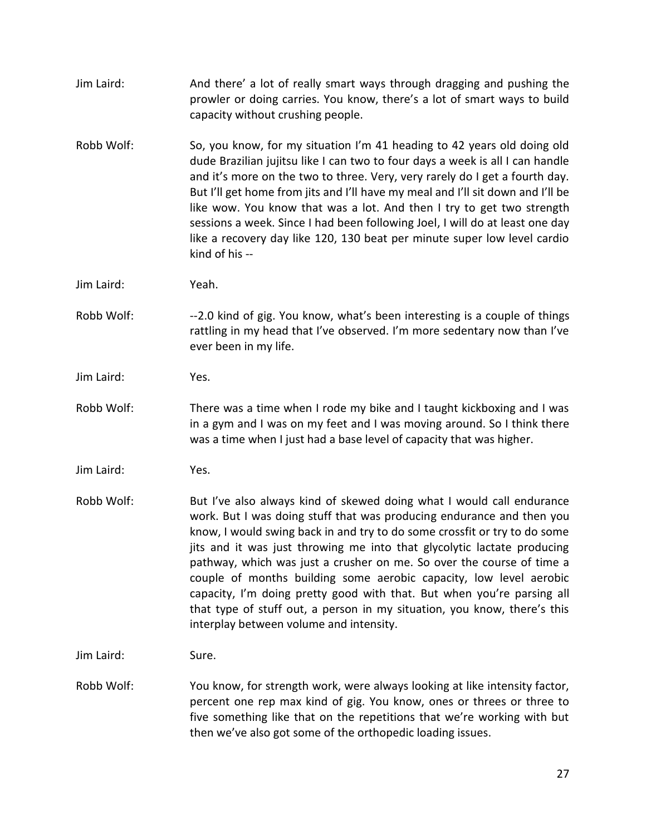Jim Laird: And there' a lot of really smart ways through dragging and pushing the prowler or doing carries. You know, there's a lot of smart ways to build capacity without crushing people. Robb Wolf: So, you know, for my situation I'm 41 heading to 42 years old doing old dude Brazilian jujitsu like I can two to four days a week is all I can handle and it's more on the two to three. Very, very rarely do I get a fourth day. But I'll get home from jits and I'll have my meal and I'll sit down and I'll be like wow. You know that was a lot. And then I try to get two strength sessions a week. Since I had been following Joel, I will do at least one day like a recovery day like 120, 130 beat per minute super low level cardio kind of his -- Jim Laird: Yeah. Robb Wolf: --2.0 kind of gig. You know, what's been interesting is a couple of things rattling in my head that I've observed. I'm more sedentary now than I've ever been in my life. Jim Laird: Yes. Robb Wolf: There was a time when I rode my bike and I taught kickboxing and I was in a gym and I was on my feet and I was moving around. So I think there was a time when I just had a base level of capacity that was higher. Jim Laird: Yes. Robb Wolf: But I've also always kind of skewed doing what I would call endurance work. But I was doing stuff that was producing endurance and then you know, I would swing back in and try to do some crossfit or try to do some jits and it was just throwing me into that glycolytic lactate producing pathway, which was just a crusher on me. So over the course of time a couple of months building some aerobic capacity, low level aerobic capacity, I'm doing pretty good with that. But when you're parsing all that type of stuff out, a person in my situation, you know, there's this interplay between volume and intensity. Jim Laird: Sure. Robb Wolf: You know, for strength work, were always looking at like intensity factor, percent one rep max kind of gig. You know, ones or threes or three to five something like that on the repetitions that we're working with but then we've also got some of the orthopedic loading issues.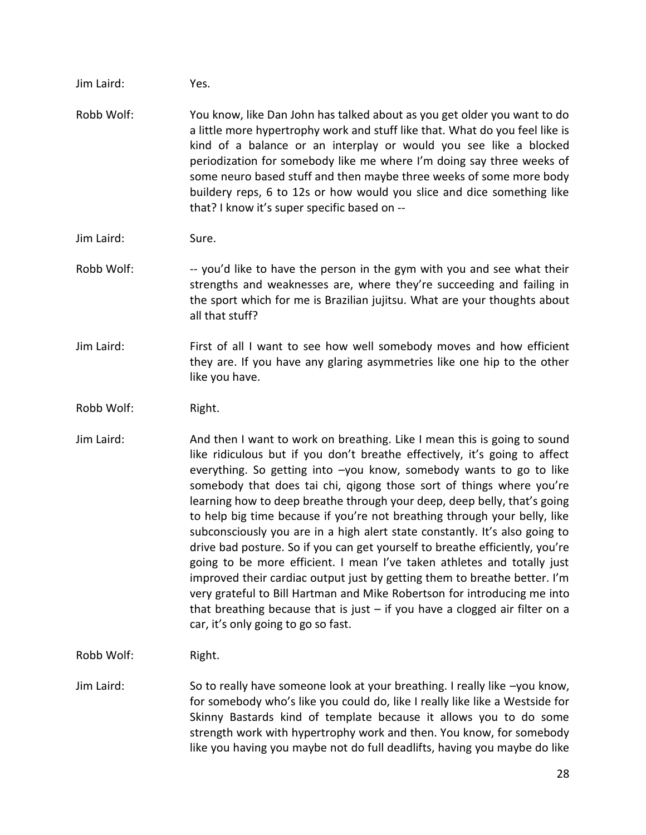Jim Laird: Yes.

- Robb Wolf: You know, like Dan John has talked about as you get older you want to do a little more hypertrophy work and stuff like that. What do you feel like is kind of a balance or an interplay or would you see like a blocked periodization for somebody like me where I'm doing say three weeks of some neuro based stuff and then maybe three weeks of some more body buildery reps, 6 to 12s or how would you slice and dice something like that? I know it's super specific based on --
- Jim Laird: Sure.
- Robb Wolf: --- you'd like to have the person in the gym with you and see what their strengths and weaknesses are, where they're succeeding and failing in the sport which for me is Brazilian jujitsu. What are your thoughts about all that stuff?
- Jim Laird: First of all I want to see how well somebody moves and how efficient they are. If you have any glaring asymmetries like one hip to the other like you have.
- Robb Wolf: Right.
- Jim Laird: And then I want to work on breathing. Like I mean this is going to sound like ridiculous but if you don't breathe effectively, it's going to affect everything. So getting into –you know, somebody wants to go to like somebody that does tai chi, qigong those sort of things where you're learning how to deep breathe through your deep, deep belly, that's going to help big time because if you're not breathing through your belly, like subconsciously you are in a high alert state constantly. It's also going to drive bad posture. So if you can get yourself to breathe efficiently, you're going to be more efficient. I mean I've taken athletes and totally just improved their cardiac output just by getting them to breathe better. I'm very grateful to Bill Hartman and Mike Robertson for introducing me into that breathing because that is just  $-$  if you have a clogged air filter on a car, it's only going to go so fast.
- Robb Wolf: Right.
- Jim Laird: So to really have someone look at your breathing. I really like –you know, for somebody who's like you could do, like I really like like a Westside for Skinny Bastards kind of template because it allows you to do some strength work with hypertrophy work and then. You know, for somebody like you having you maybe not do full deadlifts, having you maybe do like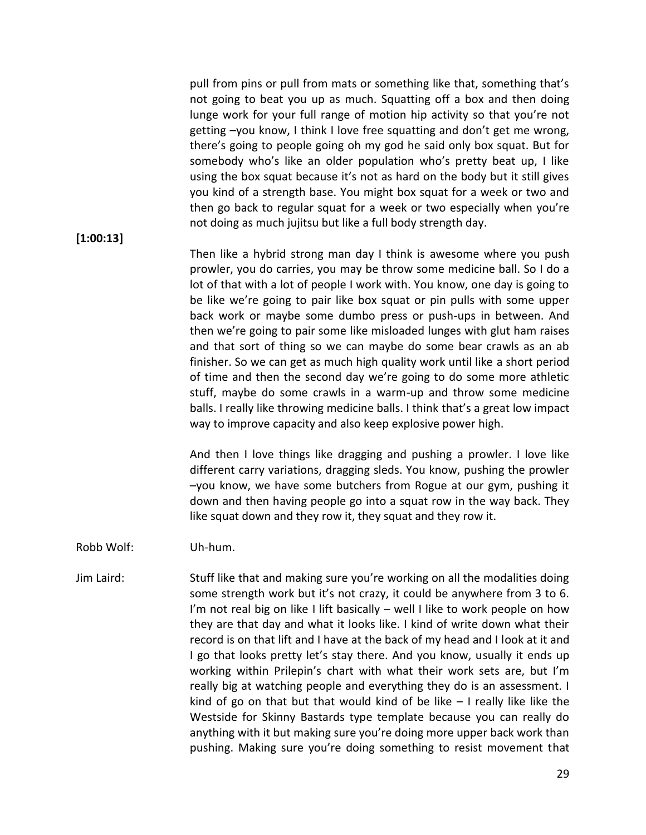pull from pins or pull from mats or something like that, something that's not going to beat you up as much. Squatting off a box and then doing lunge work for your full range of motion hip activity so that you're not getting –you know, I think I love free squatting and don't get me wrong, there's going to people going oh my god he said only box squat. But for somebody who's like an older population who's pretty beat up, I like using the box squat because it's not as hard on the body but it still gives you kind of a strength base. You might box squat for a week or two and then go back to regular squat for a week or two especially when you're not doing as much jujitsu but like a full body strength day.

#### **[1:00:13]**

Then like a hybrid strong man day I think is awesome where you push prowler, you do carries, you may be throw some medicine ball. So I do a lot of that with a lot of people I work with. You know, one day is going to be like we're going to pair like box squat or pin pulls with some upper back work or maybe some dumbo press or push-ups in between. And then we're going to pair some like misloaded lunges with glut ham raises and that sort of thing so we can maybe do some bear crawls as an ab finisher. So we can get as much high quality work until like a short period of time and then the second day we're going to do some more athletic stuff, maybe do some crawls in a warm-up and throw some medicine balls. I really like throwing medicine balls. I think that's a great low impact way to improve capacity and also keep explosive power high.

And then I love things like dragging and pushing a prowler. I love like different carry variations, dragging sleds. You know, pushing the prowler –you know, we have some butchers from Rogue at our gym, pushing it down and then having people go into a squat row in the way back. They like squat down and they row it, they squat and they row it.

#### Robb Wolf: Uh-hum.

Jim Laird: Stuff like that and making sure you're working on all the modalities doing some strength work but it's not crazy, it could be anywhere from 3 to 6. I'm not real big on like I lift basically – well I like to work people on how they are that day and what it looks like. I kind of write down what their record is on that lift and I have at the back of my head and I look at it and I go that looks pretty let's stay there. And you know, usually it ends up working within Prilepin's chart with what their work sets are, but I'm really big at watching people and everything they do is an assessment. I kind of go on that but that would kind of be like  $-1$  really like like the Westside for Skinny Bastards type template because you can really do anything with it but making sure you're doing more upper back work than pushing. Making sure you're doing something to resist movement that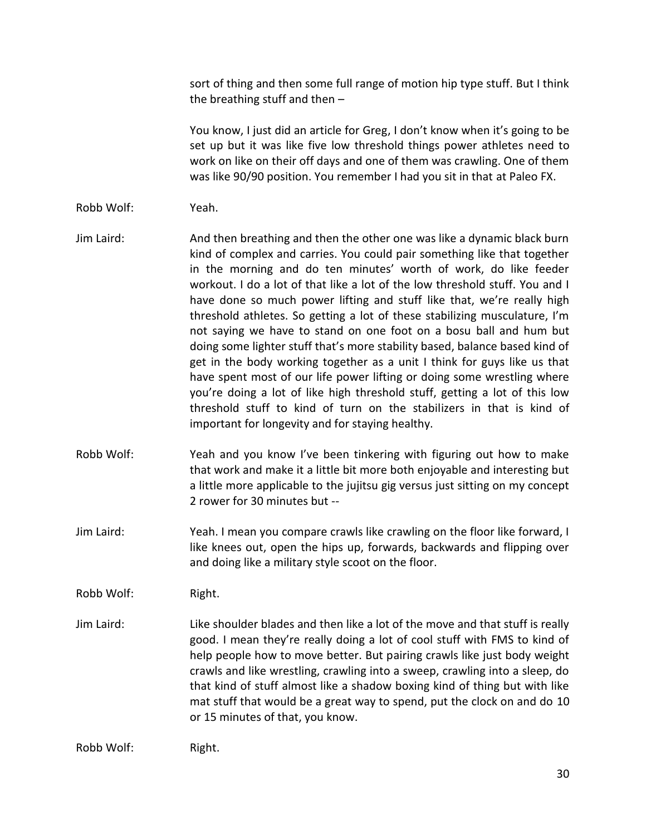sort of thing and then some full range of motion hip type stuff. But I think the breathing stuff and then  $-$ 

You know, I just did an article for Greg, I don't know when it's going to be set up but it was like five low threshold things power athletes need to work on like on their off days and one of them was crawling. One of them was like 90/90 position. You remember I had you sit in that at Paleo FX.

- Robb Wolf: Yeah.
- Jim Laird: And then breathing and then the other one was like a dynamic black burn kind of complex and carries. You could pair something like that together in the morning and do ten minutes' worth of work, do like feeder workout. I do a lot of that like a lot of the low threshold stuff. You and I have done so much power lifting and stuff like that, we're really high threshold athletes. So getting a lot of these stabilizing musculature, I'm not saying we have to stand on one foot on a bosu ball and hum but doing some lighter stuff that's more stability based, balance based kind of get in the body working together as a unit I think for guys like us that have spent most of our life power lifting or doing some wrestling where you're doing a lot of like high threshold stuff, getting a lot of this low threshold stuff to kind of turn on the stabilizers in that is kind of important for longevity and for staying healthy.
- Robb Wolf: Yeah and you know I've been tinkering with figuring out how to make that work and make it a little bit more both enjoyable and interesting but a little more applicable to the jujitsu gig versus just sitting on my concept 2 rower for 30 minutes but --
- Jim Laird: Yeah. I mean you compare crawls like crawling on the floor like forward, I like knees out, open the hips up, forwards, backwards and flipping over and doing like a military style scoot on the floor.

Robb Wolf: Right.

Jim Laird: Like shoulder blades and then like a lot of the move and that stuff is really good. I mean they're really doing a lot of cool stuff with FMS to kind of help people how to move better. But pairing crawls like just body weight crawls and like wrestling, crawling into a sweep, crawling into a sleep, do that kind of stuff almost like a shadow boxing kind of thing but with like mat stuff that would be a great way to spend, put the clock on and do 10 or 15 minutes of that, you know.

Robb Wolf: Right.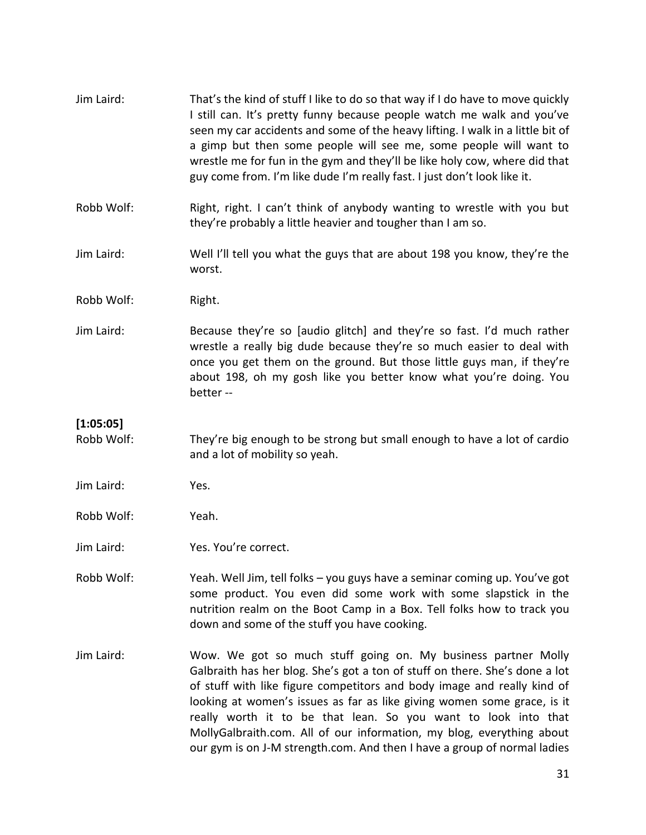| Jim Laird:              | That's the kind of stuff I like to do so that way if I do have to move quickly<br>I still can. It's pretty funny because people watch me walk and you've<br>seen my car accidents and some of the heavy lifting. I walk in a little bit of<br>a gimp but then some people will see me, some people will want to<br>wrestle me for fun in the gym and they'll be like holy cow, where did that<br>guy come from. I'm like dude I'm really fast. I just don't look like it.                                                                                                                |
|-------------------------|------------------------------------------------------------------------------------------------------------------------------------------------------------------------------------------------------------------------------------------------------------------------------------------------------------------------------------------------------------------------------------------------------------------------------------------------------------------------------------------------------------------------------------------------------------------------------------------|
| Robb Wolf:              | Right, right. I can't think of anybody wanting to wrestle with you but<br>they're probably a little heavier and tougher than I am so.                                                                                                                                                                                                                                                                                                                                                                                                                                                    |
| Jim Laird:              | Well I'll tell you what the guys that are about 198 you know, they're the<br>worst.                                                                                                                                                                                                                                                                                                                                                                                                                                                                                                      |
| Robb Wolf:              | Right.                                                                                                                                                                                                                                                                                                                                                                                                                                                                                                                                                                                   |
| Jim Laird:              | Because they're so [audio glitch] and they're so fast. I'd much rather<br>wrestle a really big dude because they're so much easier to deal with<br>once you get them on the ground. But those little guys man, if they're<br>about 198, oh my gosh like you better know what you're doing. You<br>better-                                                                                                                                                                                                                                                                                |
| [1:05:05]<br>Robb Wolf: | They're big enough to be strong but small enough to have a lot of cardio<br>and a lot of mobility so yeah.                                                                                                                                                                                                                                                                                                                                                                                                                                                                               |
| Jim Laird:              | Yes.                                                                                                                                                                                                                                                                                                                                                                                                                                                                                                                                                                                     |
| Robb Wolf:              | Yeah.                                                                                                                                                                                                                                                                                                                                                                                                                                                                                                                                                                                    |
| Jim Laird:              | Yes. You're correct.                                                                                                                                                                                                                                                                                                                                                                                                                                                                                                                                                                     |
| Robb Wolf:              | Yeah. Well Jim, tell folks - you guys have a seminar coming up. You've got<br>some product. You even did some work with some slapstick in the<br>nutrition realm on the Boot Camp in a Box. Tell folks how to track you<br>down and some of the stuff you have cooking.                                                                                                                                                                                                                                                                                                                  |
| Jim Laird:              | Wow. We got so much stuff going on. My business partner Molly<br>Galbraith has her blog. She's got a ton of stuff on there. She's done a lot<br>of stuff with like figure competitors and body image and really kind of<br>looking at women's issues as far as like giving women some grace, is it<br>$\sim$ $\sim$ $\sim$ $\sim$ $\sim$ $\sim$ $\sim$<br>the disc and the distribution of the second the second of the second of the second of the second terms of the second terms of the second terms of the second terms of the second terms of the second terms of the second terms |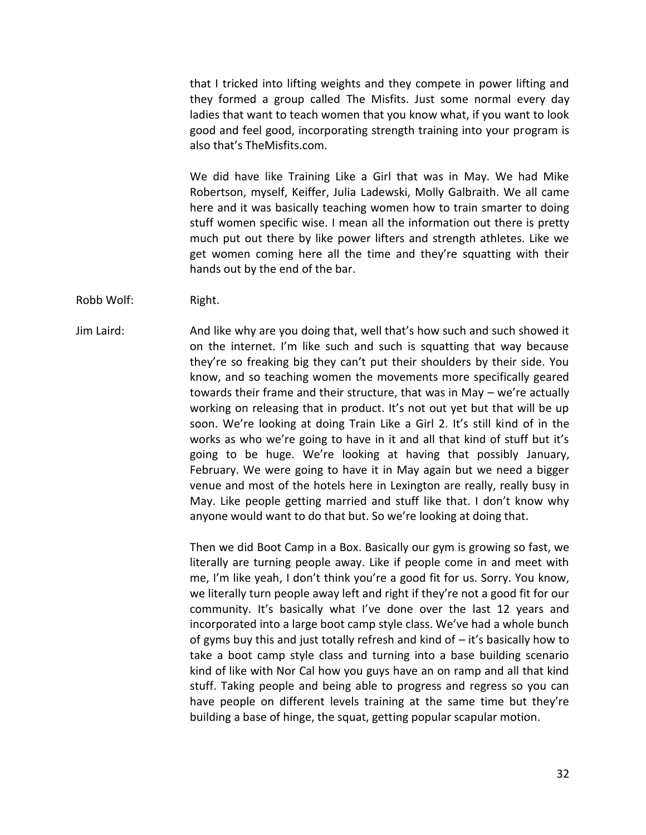that I tricked into lifting weights and they compete in power lifting and they formed a group called The Misfits. Just some normal every day ladies that want to teach women that you know what, if you want to look good and feel good, incorporating strength training into your program is also that's TheMisfits.com.

We did have like Training Like a Girl that was in May. We had Mike Robertson, myself, Keiffer, Julia Ladewski, Molly Galbraith. We all came here and it was basically teaching women how to train smarter to doing stuff women specific wise. I mean all the information out there is pretty much put out there by like power lifters and strength athletes. Like we get women coming here all the time and they're squatting with their hands out by the end of the bar.

Robb Wolf: Right.

Jim Laird: And like why are you doing that, well that's how such and such showed it on the internet. I'm like such and such is squatting that way because they're so freaking big they can't put their shoulders by their side. You know, and so teaching women the movements more specifically geared towards their frame and their structure, that was in May – we're actually working on releasing that in product. It's not out yet but that will be up soon. We're looking at doing Train Like a Girl 2. It's still kind of in the works as who we're going to have in it and all that kind of stuff but it's going to be huge. We're looking at having that possibly January, February. We were going to have it in May again but we need a bigger venue and most of the hotels here in Lexington are really, really busy in May. Like people getting married and stuff like that. I don't know why anyone would want to do that but. So we're looking at doing that.

> Then we did Boot Camp in a Box. Basically our gym is growing so fast, we literally are turning people away. Like if people come in and meet with me, I'm like yeah, I don't think you're a good fit for us. Sorry. You know, we literally turn people away left and right if they're not a good fit for our community. It's basically what I've done over the last 12 years and incorporated into a large boot camp style class. We've had a whole bunch of gyms buy this and just totally refresh and kind of – it's basically how to take a boot camp style class and turning into a base building scenario kind of like with Nor Cal how you guys have an on ramp and all that kind stuff. Taking people and being able to progress and regress so you can have people on different levels training at the same time but they're building a base of hinge, the squat, getting popular scapular motion.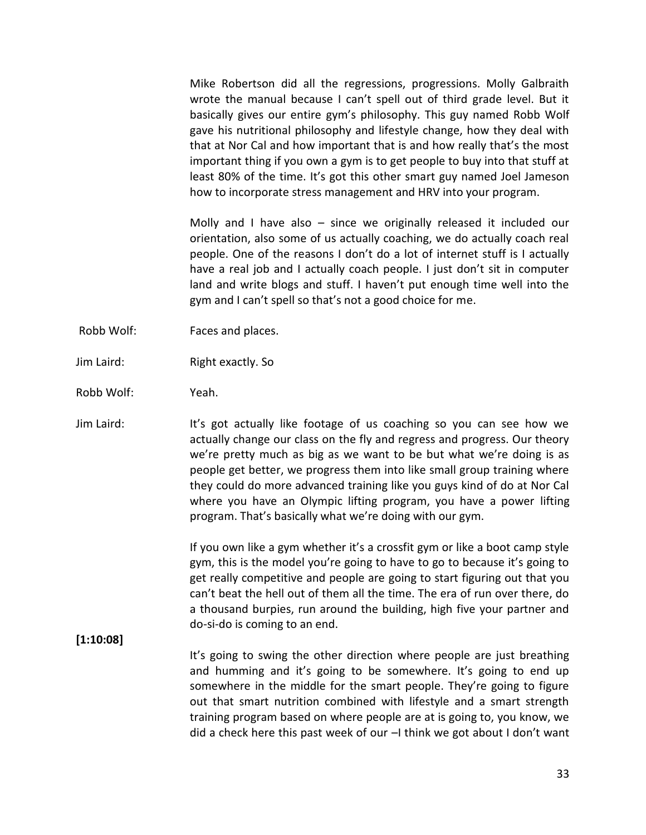Mike Robertson did all the regressions, progressions. Molly Galbraith wrote the manual because I can't spell out of third grade level. But it basically gives our entire gym's philosophy. This guy named Robb Wolf gave his nutritional philosophy and lifestyle change, how they deal with that at Nor Cal and how important that is and how really that's the most important thing if you own a gym is to get people to buy into that stuff at least 80% of the time. It's got this other smart guy named Joel Jameson how to incorporate stress management and HRV into your program.

Molly and I have also – since we originally released it included our orientation, also some of us actually coaching, we do actually coach real people. One of the reasons I don't do a lot of internet stuff is I actually have a real job and I actually coach people. I just don't sit in computer land and write blogs and stuff. I haven't put enough time well into the gym and I can't spell so that's not a good choice for me.

- Robb Wolf: Faces and places.
- Jim Laird: Right exactly. So
- Robb Wolf: Yeah.

Jim Laird: It's got actually like footage of us coaching so you can see how we actually change our class on the fly and regress and progress. Our theory we're pretty much as big as we want to be but what we're doing is as people get better, we progress them into like small group training where they could do more advanced training like you guys kind of do at Nor Cal where you have an Olympic lifting program, you have a power lifting program. That's basically what we're doing with our gym.

> If you own like a gym whether it's a crossfit gym or like a boot camp style gym, this is the model you're going to have to go to because it's going to get really competitive and people are going to start figuring out that you can't beat the hell out of them all the time. The era of run over there, do a thousand burpies, run around the building, high five your partner and do-si-do is coming to an end.

#### **[1:10:08]**

It's going to swing the other direction where people are just breathing and humming and it's going to be somewhere. It's going to end up somewhere in the middle for the smart people. They're going to figure out that smart nutrition combined with lifestyle and a smart strength training program based on where people are at is going to, you know, we did a check here this past week of our –I think we got about I don't want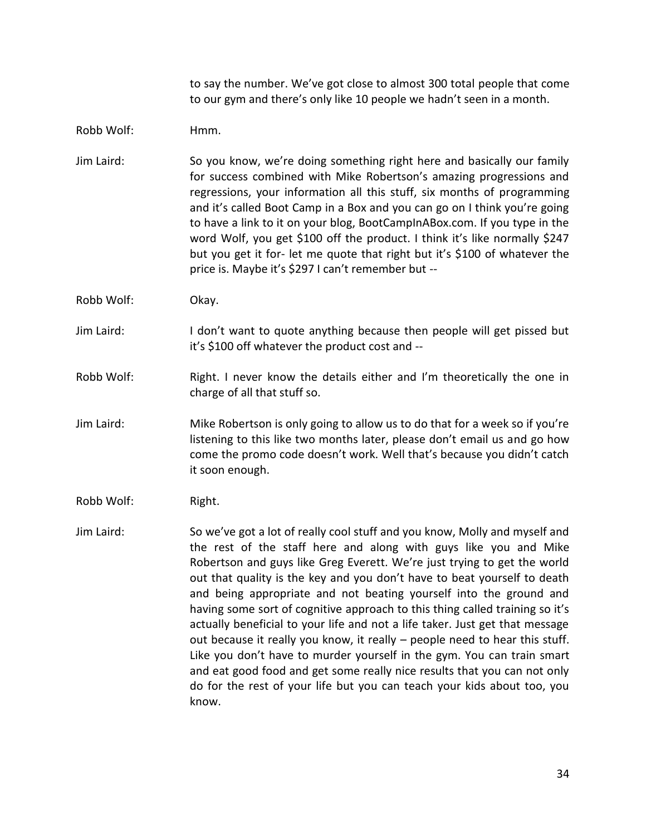to say the number. We've got close to almost 300 total people that come to our gym and there's only like 10 people we hadn't seen in a month.

#### Robb Wolf: Hmm.

- Jim Laird: So you know, we're doing something right here and basically our family for success combined with Mike Robertson's amazing progressions and regressions, your information all this stuff, six months of programming and it's called Boot Camp in a Box and you can go on I think you're going to have a link to it on your blog, BootCampInABox.com. If you type in the word Wolf, you get \$100 off the product. I think it's like normally \$247 but you get it for- let me quote that right but it's \$100 of whatever the price is. Maybe it's \$297 I can't remember but --
- Robb Wolf: Okay.
- Jim Laird: I don't want to quote anything because then people will get pissed but it's \$100 off whatever the product cost and --
- Robb Wolf: Right. I never know the details either and I'm theoretically the one in charge of all that stuff so.
- Jim Laird: Mike Robertson is only going to allow us to do that for a week so if you're listening to this like two months later, please don't email us and go how come the promo code doesn't work. Well that's because you didn't catch it soon enough.
- Robb Wolf: Right.
- Jim Laird: So we've got a lot of really cool stuff and you know, Molly and myself and the rest of the staff here and along with guys like you and Mike Robertson and guys like Greg Everett. We're just trying to get the world out that quality is the key and you don't have to beat yourself to death and being appropriate and not beating yourself into the ground and having some sort of cognitive approach to this thing called training so it's actually beneficial to your life and not a life taker. Just get that message out because it really you know, it really – people need to hear this stuff. Like you don't have to murder yourself in the gym. You can train smart and eat good food and get some really nice results that you can not only do for the rest of your life but you can teach your kids about too, you know.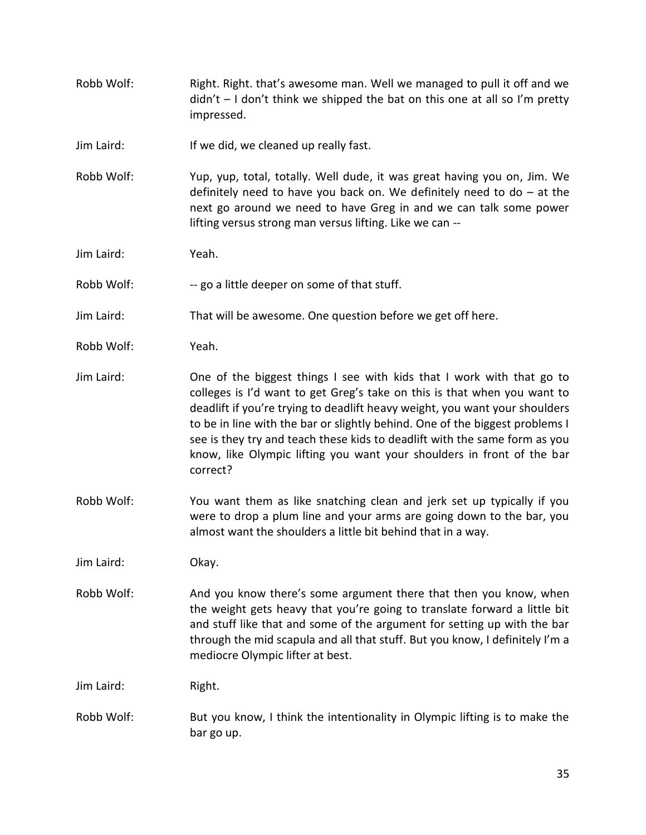- Robb Wolf: Right. Right. that's awesome man. Well we managed to pull it off and we  $d$ idn't  $-1$  don't think we shipped the bat on this one at all so I'm pretty impressed.
- Jim Laird: If we did, we cleaned up really fast.
- Robb Wolf: Yup, yup, total, totally. Well dude, it was great having you on, Jim. We definitely need to have you back on. We definitely need to do – at the next go around we need to have Greg in and we can talk some power lifting versus strong man versus lifting. Like we can --

Jim Laird: Yeah.

- Robb Wolf: -- go a little deeper on some of that stuff.
- Jim Laird: That will be awesome. One question before we get off here.
- Robb Wolf: Yeah.
- Jim Laird: One of the biggest things I see with kids that I work with that go to colleges is I'd want to get Greg's take on this is that when you want to deadlift if you're trying to deadlift heavy weight, you want your shoulders to be in line with the bar or slightly behind. One of the biggest problems I see is they try and teach these kids to deadlift with the same form as you know, like Olympic lifting you want your shoulders in front of the bar correct?
- Robb Wolf: You want them as like snatching clean and jerk set up typically if you were to drop a plum line and your arms are going down to the bar, you almost want the shoulders a little bit behind that in a way.

Jim Laird: Okay.

Robb Wolf: And you know there's some argument there that then you know, when the weight gets heavy that you're going to translate forward a little bit and stuff like that and some of the argument for setting up with the bar through the mid scapula and all that stuff. But you know, I definitely I'm a mediocre Olympic lifter at best.

Jim Laird: Right.

Robb Wolf: But you know, I think the intentionality in Olympic lifting is to make the bar go up.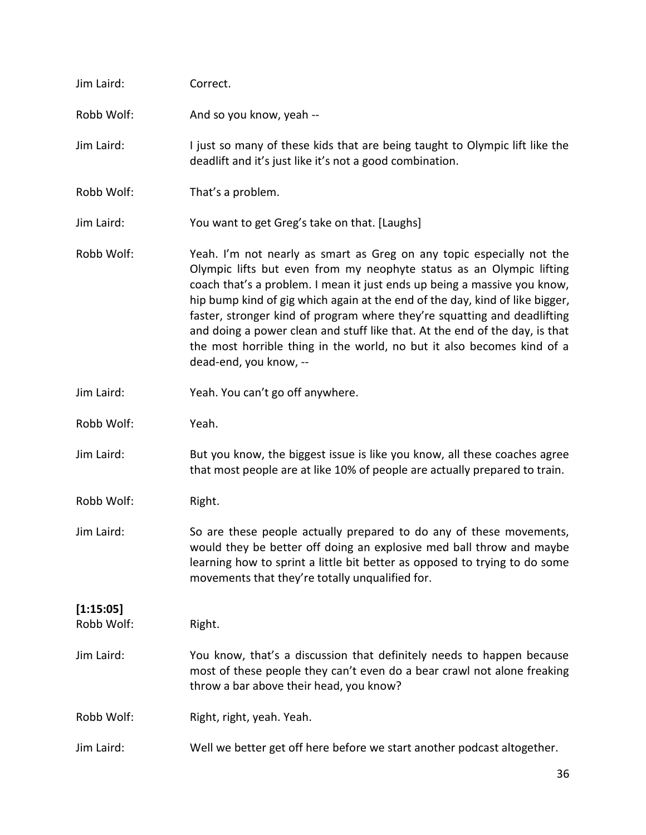| Jim Laird:              | Correct.                                                                                                                                                                                                                                                                                                                                                                                                                                                                                                                                                                 |
|-------------------------|--------------------------------------------------------------------------------------------------------------------------------------------------------------------------------------------------------------------------------------------------------------------------------------------------------------------------------------------------------------------------------------------------------------------------------------------------------------------------------------------------------------------------------------------------------------------------|
| Robb Wolf:              | And so you know, yeah --                                                                                                                                                                                                                                                                                                                                                                                                                                                                                                                                                 |
| Jim Laird:              | I just so many of these kids that are being taught to Olympic lift like the<br>deadlift and it's just like it's not a good combination.                                                                                                                                                                                                                                                                                                                                                                                                                                  |
| Robb Wolf:              | That's a problem.                                                                                                                                                                                                                                                                                                                                                                                                                                                                                                                                                        |
| Jim Laird:              | You want to get Greg's take on that. [Laughs]                                                                                                                                                                                                                                                                                                                                                                                                                                                                                                                            |
| Robb Wolf:              | Yeah. I'm not nearly as smart as Greg on any topic especially not the<br>Olympic lifts but even from my neophyte status as an Olympic lifting<br>coach that's a problem. I mean it just ends up being a massive you know,<br>hip bump kind of gig which again at the end of the day, kind of like bigger,<br>faster, stronger kind of program where they're squatting and deadlifting<br>and doing a power clean and stuff like that. At the end of the day, is that<br>the most horrible thing in the world, no but it also becomes kind of a<br>dead-end, you know, -- |
| Jim Laird:              | Yeah. You can't go off anywhere.                                                                                                                                                                                                                                                                                                                                                                                                                                                                                                                                         |
| Robb Wolf:              | Yeah.                                                                                                                                                                                                                                                                                                                                                                                                                                                                                                                                                                    |
| Jim Laird:              | But you know, the biggest issue is like you know, all these coaches agree<br>that most people are at like 10% of people are actually prepared to train.                                                                                                                                                                                                                                                                                                                                                                                                                  |
| Robb Wolf:              | Right.                                                                                                                                                                                                                                                                                                                                                                                                                                                                                                                                                                   |
| Jim Laird:              | So are these people actually prepared to do any of these movements,<br>would they be better off doing an explosive med ball throw and maybe<br>learning how to sprint a little bit better as opposed to trying to do some<br>movements that they're totally unqualified for.                                                                                                                                                                                                                                                                                             |
| [1:15:05]<br>Robb Wolf: | Right.                                                                                                                                                                                                                                                                                                                                                                                                                                                                                                                                                                   |
| Jim Laird:              | You know, that's a discussion that definitely needs to happen because<br>most of these people they can't even do a bear crawl not alone freaking<br>throw a bar above their head, you know?                                                                                                                                                                                                                                                                                                                                                                              |
| Robb Wolf:              | Right, right, yeah. Yeah.                                                                                                                                                                                                                                                                                                                                                                                                                                                                                                                                                |
| Jim Laird:              | Well we better get off here before we start another podcast altogether.                                                                                                                                                                                                                                                                                                                                                                                                                                                                                                  |